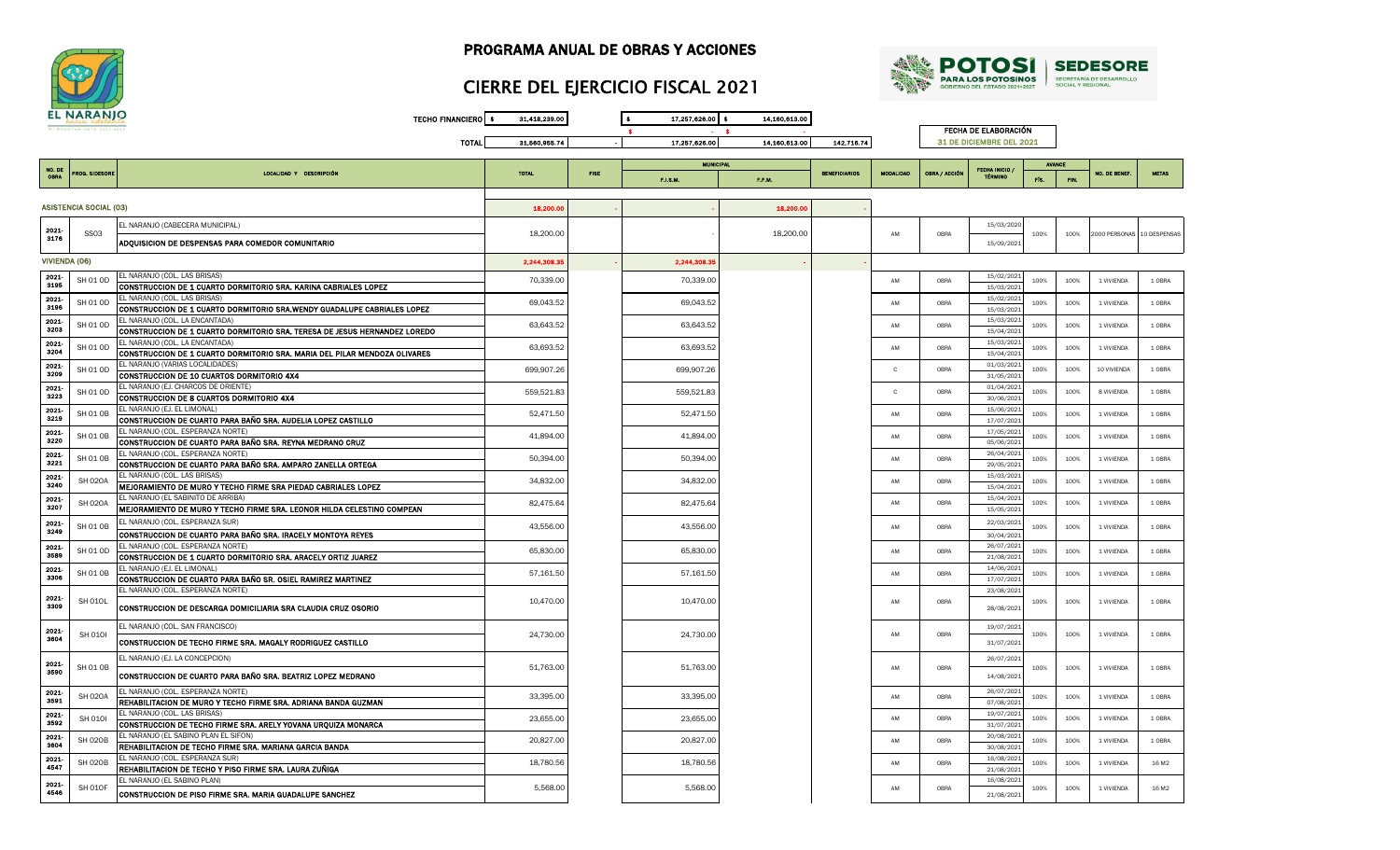

# CIERRE DEL EJERCICIO FISCAL 2021



|               | <b>EL NARANJO</b>             | <b>TECHO FINANCIERO</b>                                                                       | 31,418,239.00 |             | 17,257,626.00 \$ | 14,160,613.00 |                      |                  |               |                          |               |      |                            |                   |
|---------------|-------------------------------|-----------------------------------------------------------------------------------------------|---------------|-------------|------------------|---------------|----------------------|------------------|---------------|--------------------------|---------------|------|----------------------------|-------------------|
|               | H. AVUNTAMIENTO 2021-2        |                                                                                               |               |             |                  |               |                      |                  |               | FECHA DE ELABORACIÓN     |               |      |                            |                   |
|               |                               | <b>TOTAL</b>                                                                                  | 31,560,955.74 |             | 17.257.626.00    | 14,160,613.00 | 142,716.74           |                  |               | 31 DE DICIEMBRE DEL 2021 |               |      |                            |                   |
|               |                               |                                                                                               |               |             |                  |               |                      |                  |               |                          |               |      |                            |                   |
| NO. DI        |                               |                                                                                               |               |             | <b>MUNICIPAL</b> |               |                      |                  |               | FECHA INICIO             | <b>AVANCE</b> |      |                            |                   |
| <b>OBRA</b>   | PROG. SIDESORE                | LOCALIDAD Y DESCRIPCIÓN                                                                       | <b>TOTAL</b>  | <b>FISE</b> | F.I.S.M.         | F.F.M.        | <b>BENEFICIARIOS</b> | <b>MODALIDAD</b> | OBRA / ACCIÓN | <b>TÉRMINO</b>           | FÍS.          | FIN. | NO. DE BENEF               | <b>NETAS</b>      |
|               |                               |                                                                                               |               |             |                  |               |                      |                  |               |                          |               |      |                            |                   |
|               |                               |                                                                                               |               |             |                  |               |                      |                  |               |                          |               |      |                            |                   |
|               | <b>ASISTENCIA SOCIAL (03)</b> |                                                                                               | 18,200.00     |             |                  | 18,200.00     |                      |                  |               |                          |               |      |                            |                   |
|               |                               | EL NARANJO (CABECERA MUNICIPAL)                                                               |               |             |                  |               |                      |                  |               | 15/03/2020               |               |      |                            |                   |
| 2021-<br>3176 | <b>SS03</b>                   |                                                                                               | 18,200.00     |             |                  | 18,200.00     |                      | AM               | OBRA          |                          | 100%          | 100% | 2000 PERSONAS 10 DESPENSAS |                   |
|               |                               | ADQUISICION DE DESPENSAS PARA COMEDOR COMUNITARIO                                             |               |             |                  |               |                      |                  |               | 15/09/2021               |               |      |                            |                   |
| VIVIENDA (06) |                               |                                                                                               | 2,244,308.3   |             | 2,244,308.3      |               |                      |                  |               |                          |               |      |                            |                   |
|               |                               | EL NARANJO (COL. LAS BRISAS)                                                                  |               |             |                  |               |                      |                  |               | 15/02/2021               |               |      |                            |                   |
| 2021<br>3195  | SH 01 OD                      | CONSTRUCCION DE 1 CUARTO DORMITORIO SRA. KARINA CABRIALES LOPEZ                               | 70,339.00     |             | 70,339.00        |               |                      | AM               | OBRA          | 15/03/2021               | 100%          | 100% | 1 VIVIENDA                 | 1 OBRA            |
| 2021          |                               | EL NARANJO (COL. LAS BRISAS)                                                                  |               |             |                  |               |                      |                  |               | 15/02/2021               |               |      |                            |                   |
| 3196          | SH 01 OD                      | CONSTRUCCION DE 1 CUARTO DORMITORIO SRA.WENDY GUADALUPE CABRIALES LOPEZ                       | 69,043.52     |             | 69,043.52        |               |                      | AM               | OBRA          | 15/03/2021               | 100%          | 100% | 1 VIVIENDA                 | 1 OBRA            |
| 2021          |                               | EL NARANJO (COL. LA ENCANTADA)                                                                |               |             |                  |               |                      |                  |               | 15/03/2021               |               |      |                            |                   |
| 3203          | SH 01 OD                      | CONSTRUCCION DE 1 CUARTO DORMITORIO SRA. TERESA DE JESUS HERNANDEZ LOREDO                     | 63,643.52     |             | 63,643.52        |               |                      | AM               | OBRA          | 15/04/2021               | 100%          | 100% | 1 VIVIENDA                 | 1 OBRA            |
| 2021          | SH 01 OD                      | EL NARANJO (COL. LA ENCANTADA)                                                                | 63,693.52     |             | 63,693.52        |               |                      | AM               | OBRA          | 15/03/2021               | 100%          | 100% | 1 VIVIENDA                 | 1 OBRA            |
| 3204          |                               | CONSTRUCCION DE 1 CUARTO DORMITORIO SRA. MARIA DEL PILAR MENDOZA OLIVARES                     |               |             |                  |               |                      |                  |               | 15/04/2021               |               |      |                            |                   |
| 2021          | SH 01 OD                      | EL NARANJO (VARIAS LOCALIDADES)                                                               | 699,907.26    |             | 699,907.26       |               |                      | $\mathbf{C}$     | OBRA          | 01/03/2021               | 100%          | 100% | 10 VIVIENDA                | 1 OBRA            |
| 3209          |                               | CONSTRUCCION DE 10 CUARTOS DORMITORIO 4X4                                                     |               |             |                  |               |                      |                  |               | 31/05/2021               |               |      |                            |                   |
| 2021          | SH 01 OD                      | EL NARANJO (EJ. CHARCOS DE ORIENTE)                                                           | 559,521.83    |             | 559,521.83       |               |                      | $\mathbf{c}$     | OBRA          | 01/04/2021               | 100%          | 100% | 8 VIVIENDA                 | 1 OBRA            |
| 3223          |                               | CONSTRUCCION DE 8 CUARTOS DORMITORIO 4X4                                                      |               |             |                  |               |                      |                  |               | 30/06/2021               |               |      |                            |                   |
| 2021<br>3219  | <b>SH 01 OB</b>               | EL NARANJO (EJ. EL LIMONAL)                                                                   | 52,471.50     |             | 52,471.50        |               |                      | AM               | OBRA          | 15/06/2021               | 100%          | 100% | 1 VIVIENDA                 | 1 OBRA            |
|               |                               | CONSTRUCCION DE CUARTO PARA BAÑO SRA. AUDELIA LOPEZ CASTILLO                                  |               |             |                  |               |                      |                  |               | 17/07/2021               |               |      |                            |                   |
| 2021<br>3220  | <b>SH 01 OB</b>               | EL NARANJO (COL. ESPERANZA NORTE)<br>CONSTRUCCION DE CUARTO PARA BAÑO SRA. REYNA MEDRANO CRUZ | 41,894.00     |             | 41,894.00        |               |                      | AM               | OBRA          | 17/05/2021               | 100%          | 100% | 1 VIVIENDA                 | 1 OBRA            |
|               |                               | EL NARANJO (COL. ESPERANZA NORTE)                                                             |               |             |                  |               |                      |                  |               | 05/06/2021<br>26/04/2021 |               |      |                            |                   |
| 2021<br>3221  | <b>SH 01 OB</b>               | CONSTRUCCION DE CUARTO PARA BAÑO SRA, AMPARO ZANELLA ORTEGA                                   | 50,394.00     |             | 50,394.00        |               |                      | AM               | OBRA          | 29/05/2021               | 100%          | 100% | 1 VIVIENDA                 | 1 OBRA            |
| 2021          |                               | EL NARANJO (COL. LAS BRISAS)                                                                  |               |             |                  |               |                      |                  |               | 15/03/2021               |               |      |                            |                   |
| 3240          | <b>SH 020A</b>                | MEJORAMIENTO DE MURO Y TECHO FIRME SRA PIEDAD CABRIALES LOPEZ                                 | 34,832.00     |             | 34,832.00        |               |                      | AM               | OBRA          | 15/04/2021               | 100%          | 100% | 1 VIVIENDA                 | 1 OBRA            |
| 2021          |                               | EL NARANJO (EL SABINITO DE ARRIBA)                                                            |               |             |                  |               |                      |                  |               | 15/04/2021               |               |      |                            |                   |
| 3207          | <b>SH 020A</b>                | MEJORAMIENTO DE MURO Y TECHO FIRME SRA. LEONOR HILDA CELESTINO COMPEAN                        | 82,475.64     |             | 82,475.64        |               |                      | AM               | OBRA          | 15/05/2021               | 100%          | 100% | 1 VIVIENDA                 | 1 OBRA            |
| 2021          |                               | EL NARANJO (COL. ESPERANZA SUR)                                                               |               |             |                  |               |                      |                  |               | 22/03/2021               |               |      |                            |                   |
| 3249          | <b>SH 01 OB</b>               | CONSTRUCCION DE CUARTO PARA BAÑO SRA. IRACELY MONTOYA REYES                                   | 43,556.00     |             | 43,556.00        |               |                      | AM               | OBRA          | 30/04/2021               | 100%          | 100% | 1 VIVIENDA                 | 1 OBRA            |
| 2021          |                               | EL NARANJO (COL. ESPERANZA NORTE)                                                             |               |             |                  |               |                      | AM               | OBRA          | 26/07/2021               |               |      |                            | 1 OBRA            |
| 3589          | SH 01 OD                      | CONSTRUCCION DE 1 CUARTO DORMITORIO SRA. ARACELY ORTIZ JUAREZ                                 | 65,830.00     |             | 65,830.00        |               |                      |                  |               | 21/08/2021               | 100%          | 100% | 1 VIVIENDA                 |                   |
| 2021          | <b>SH 01 OB</b>               | EL NARANJO (EJ. EL LIMONAL)                                                                   | 57,161.50     |             | 57,161.50        |               |                      | AM               | OBRA          | 14/06/2021               | 100%          | 100% | 1 VIVIENDA                 | 1 OBRA            |
| 3306          |                               | CONSTRUCCION DE CUARTO PARA BAÑO SR. OSIEL RAMIREZ MARTINEZ                                   |               |             |                  |               |                      |                  |               | 17/07/2021               |               |      |                            |                   |
| 2021          |                               | EL NARANJO (COL. ESPERANZA NORTE)                                                             |               |             |                  |               |                      |                  |               | 23/08/2021               |               |      |                            |                   |
| 3309          | <b>SH 010L</b>                | CONSTRUCCION DE DESCARGA DOMICILIARIA SRA CLAUDIA CRUZ OSORIO                                 | 10,470.00     |             | 10,470.00        |               |                      | AM               | OBRA          | 28/08/2021               | 100%          | 100% | 1 VIVIENDA                 | 1 OBRA            |
|               |                               |                                                                                               |               |             |                  |               |                      |                  |               |                          |               |      |                            |                   |
| 2021          | <b>SH 0101</b>                | EL NARANJO (COL. SAN FRANCISCO)                                                               | 24,730.00     |             | 24,730.00        |               |                      | AM               | OBRA          | 19/07/2021               | 100%          | 100% | 1 VIVIENDA                 | 1 OBRA            |
| 3604          |                               | CONSTRUCCION DE TECHO FIRME SRA. MAGALY RODRIGUEZ CASTILLO                                    |               |             |                  |               |                      |                  |               | 31/07/2021               |               |      |                            |                   |
|               |                               | EL NARANJO (EJ. LA CONCEPCION)                                                                |               |             |                  |               |                      |                  |               |                          |               |      |                            |                   |
| 2021          | <b>SH 01 OB</b>               |                                                                                               | 51,763.00     |             | 51,763.00        |               |                      | AM               | OBRA          | 26/07/2021               | 100%          | 100% | 1 VIVIENDA                 | 1 OBRA            |
| 3590          |                               | CONSTRUCCION DE CUARTO PARA BAÑO SRA. BEATRIZ LOPEZ MEDRANO                                   |               |             |                  |               |                      |                  |               | 14/08/2021               |               |      |                            |                   |
| 2021          |                               | EL NARANJO (COL. ESPERANZA NORTE)                                                             |               |             |                  |               |                      |                  |               | 26/07/2021               |               |      |                            |                   |
| 3591          | <b>SH 020A</b>                | REHABILITACION DE MURO Y TECHO FIRME SRA. ADRIANA BANDA GUZMAN                                | 33,395.00     |             | 33,395.00        |               |                      | AM               | OBRA          | 07/08/2021               | 100%          | 100% | 1 VIVIENDA                 | 1 OBRA            |
| 2021          |                               | EL NARANJO (COL. LAS BRISAS)                                                                  |               |             |                  |               |                      | AM               | OBRA          | 19/07/2021               | 100%          | 100% | 1 VIVIENDA                 | 1 OBRA            |
| 3592          | SH 0101                       | CONSTRUCCION DE TECHO FIRME SRA. ARELY YOVANA URQUIZA MONARCA                                 | 23,655.00     |             | 23,655.00        |               |                      |                  |               | 31/07/2021               |               |      |                            |                   |
| 2021          | <b>SH 020B</b>                | EL NARANJO (EL SABINO PLAN EL SIFON)                                                          | 20,827.00     |             | 20,827.00        |               |                      | AM               | OBRA          | 20/08/2021               | 100%          | 100% | 1 VIVIENDA                 | 1 OBRA            |
| 3604          |                               | REHABILITACION DE TECHO FIRME SRA. MARIANA GARCIA BANDA                                       |               |             |                  |               |                      |                  |               | 30/08/2021               |               |      |                            |                   |
| 2021          | <b>SH 020B</b>                | EL NARANJO (COL. ESPERANZA SUR)                                                               | 18,780.56     |             | 18,780.56        |               |                      | AM               | OBRA          | 16/08/2021               | 100%          | 100% | 1 VIVIENDA                 | 16 M <sub>2</sub> |
| 4547          |                               | REHABILITACION DE TECHO Y PISO FIRME SRA. LAURA ZUÑIGA                                        |               |             |                  |               |                      |                  |               | 21/08/2021               |               |      |                            |                   |
| 2021          | <b>SH 010F</b>                | EL NARANJO (EL SABINO PLAN)                                                                   | 5,568.00      |             | 5,568.00         |               |                      | AM               | OBRA          | 16/08/2021               | 100%          | 100% | 1 VIVIENDA                 | 16 M <sub>2</sub> |
| 4546          |                               | CONSTRUCCION DE PISO FIRME SRA, MARIA GUADALUPE SANCHEZ                                       |               |             |                  |               |                      |                  |               | 21/08/2021               |               |      |                            |                   |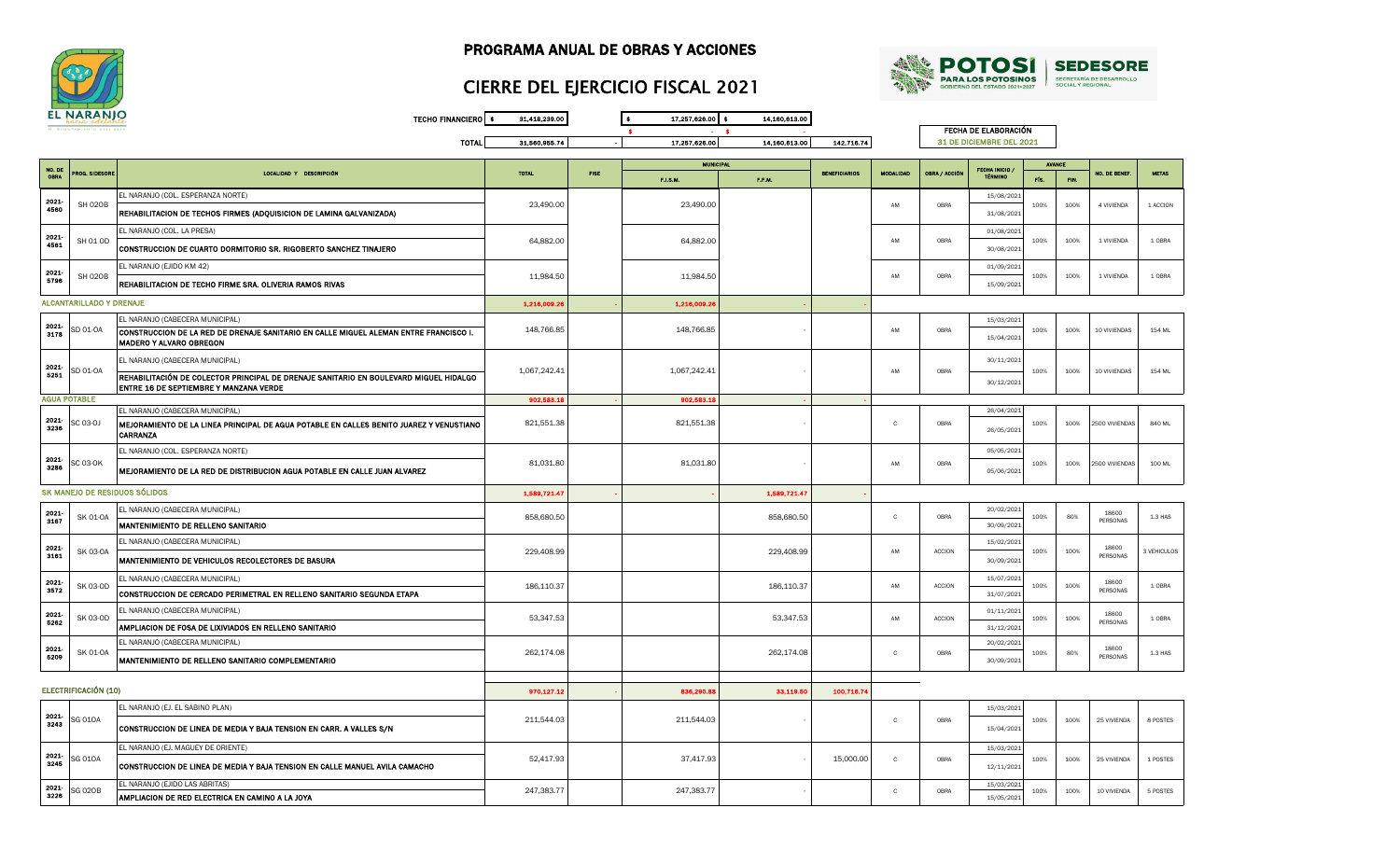



## CIERRE DEL EJERCICIO FISCAL 2021

TECHO FINANCIERO \$ 31,418,239.00 \$ 17,257,626.00 \$ 14,160,613.00 \$ - \$ - TOTAL 31,560,955.74 - 17,257,626.00 14,160,613.00 142,716.74 F.I.S.M. F.F.M. FÍS. FIN. FECHA DE ELABORACIÓN 31 DE DICIEMBRE DEL 2021 ECHA INICIO TÉRMINO AVANCE BENEFICIARIOS MODALIDAD OBRA / ACCIÓN NO. DE BENEF. METAS NO. DE obra prog. sidesore i como controllo de localidad y descripción de la como en la como en la total de la fise<br>Obra prog. Sidesore i como controllo de la como controllo de la como controllo de la como controllo de la fise **MUNICIPA** EL NARANJO (COL. ESPERANZA NORTE) 15/08/2021 ABION DE REHABILITACION DE TECHOS FIRMES (ADQUISICION DE LAMINA GALVANIZADA) 23,490.00 23,490.00 23,490.00 23,490.00 23,490.00 AM OBRA 31/08/2021 EL NARANJO (COL. LA PRESA) 01/08/2021 CONSTRUCCION DE CUARTO DORMITORIO SR. RIGOBERTO SANCHEZ TINAJERO 64,882.00 64,882.00 64,882.00 64,882.00 64,882.00 64,882.00 AM OBRA 30/08/2021 EL NARANJO (EJIDO KM 42) 01/09/2021 ADALANG SHO2OB **REHABILITACION DE TECHO FIRME SRA. OLIVERIA RAMOS RIVAS** 1999 11,984.50 11,984.50 11,984.50 11,984.50 11,984.50 11,984.50 11,984.50 11,984.50 11,984.50 11,984.50 11,984.50 11,984.50 11,984.50 11,984.50 11,9  $1,216,009.26$  -  $1,216,009.26$ EL NARANJO (CABECERA MUNICIPAL) 15/03/2021 CONSTRUCCION DE LA RED DE DRENAJE SANITARIO EN CALLE MIGUEL ALEMAN ENTRE FRANCISCO I. <sup>3178</sup> SD 01-OA 148,766.85 148,766.85 MADERO Y ALVARO OBREGON 15/04/2021 EL NARANJO (CABECERA MUNICIPAL) 30/11/2021 VALA SO 01-OA REHABILITACIÓN DE COLECTOR PRINCIPAL DE DRENAJE SANITARIO EN BOULEVARD MIGUEL HIDALGO 1.067,242.41 1,067,242.41 1,067,242.41 1,067,242.41 1,067,242.41 1,067,242.41 1,067,242.41 1,067,242.41 1,067,242.41 1,06 ENTABLIKAUN DE CULEUUN FRINGHAL DE DRENADE SANHARIO EN BOULEVARD MIGUEL HIDALGO<br>ENTRE 16 DE SEPTIEMBRE Y MANZANA VERDE ANNIARIO EN BOULEVARD MIGUEL HIDALGO ANNIARIO ANNIARIO ANNIARIO ANNIARIO 902,583.18 - 902,583.18 - - EL NARANJO (CABECERA MUNICIPAL) 26/04/2021 SC 03-0J |**MEJORAMIENTO DE LA LINEA PRINCIPAL DE AGUA POTABLE EN CALLES BENITO JUAREZ Y VENUSTIANO | 821,551.38 | RESPONDENT | 821,551.38** CARRANZA 26/05/2021 EL NARANJO (COL. ESPERANZA NORTE) 05/05/2021 MEJORAMIENTO DE LA RED DE DISTRIBUCION AGUA POTABLE EN CALLE JUAN ALVAREZ 81,031.80 BALOS 2021 - AM MEJORA BALOS DE DE DE DE DE DESOS/2021<br>S286 SC 03-OK MEJORAMIENTO DE LA RED DE DISTRIBUCION AGUA POTABLE EN CALLE JUAN ALV 1,589,721.47 - - 1,589,721.47 -  $\texttt{EBL}$  NARANJO (CABECERA MUNICIPAL)  $\texttt{B58.680.50}$   $\texttt{B58.680.50}$   $\texttt{B58.680.50}$   $\texttt{C}$   $\texttt{OBR}$   $\texttt{D6RA}$   $\texttt{D6RA}$ MANTENIMIENTO DE RELLENO SANITARIO **de Santonio de Santonio de Santonio de Santonio de Santonio de Santonio de S** EL NARANJO (CABECERA MUNICIPAL) 15/02/2021 MANTENIMIENTO DE VEHICULOS RECOLECTORES DE BASURA 229,408.99 229,408.99 229,408.99 229,408.99 229,408.99 4M ACCION  $\text{LE}$  NARANJO (CABECERA MUNICIPAL)  $186,110.37$   $186,110.37$   $186,110.37$   $186,110.37$   $186,110.37$   $186,110.37$ SIZEN SK 03-OD **CONSTRUCCION DE CERCADO PERIMETRAL EN RELLENO SANITARIO SEGUNDA ETAPA** 186,110.37 186,110.37 186,110.37 186,110.37 186,110.37 186,110.37 186,110.37 186,110.37 186,110.37 186,110.37 187/07/2021 EL NARANJO (CABECERA MUNICIPAL) 01/11/2021 AMPLIACION DE FOSA DE LIXIVIADOS EN RELLENO SANITARIO **addedita de seu altres de la contra de la contra de la contra de la contra de la contra de la contra de la contra de la contra de la contra de la contra de la contra d** EL NARANJO (CABECERA MUNICIPAL) 20/02/2021 MANTENIMIENTO DE RELLENO SANITARIO COMPLEMENTARIO COMPUNITARIO COMPUNITARIO COMPUNITARIO COMPUNITARIO COMPUNITARIO COMPUNITARIO COMPUNITARIO COMPUNITARIO COMPUNITARIO COMPUNITARIO COMPUNITARIO COMPUNITARIO COMPUNITARIO COM 970,127.12 - 836,290.88 33,119.50 100,716.74 EL NARANJO (EJ. EL SABINO PLAN) 15/03/2021 VALLAND CONSTRUCCION DE LINEA DE MEDIA Y BAJA TENSION EN CARR. A VALLES S/N 211,544.03 211,544.03 211,544.03 211,544.03 c dera is/04/2021 EL NARANJO (EJ. MAGUEY DE ORIENTE) 15/03/2021 CONSTRUCCION DE LINEA DE MEDIA Y BAJA TENSION EN CALLE MANUEL AVILA CAMACHO 12/11/2021 <sup>3245</sup> SG 01OA 52,417.93 37,417.93 EL NARANJO (EJIDO LAS ABRITAS) 15/03/2021 AMPLIACION DE RED ELECTRICA EN CAMINO A LA JOYA 15/05/2021 <sup>3226</sup> SG 02OB 247,383.77 247,383.77 -  $247,383.77$  247,383.77 2247,383.77 2247,383.77 2247,383.77 2247,383.77 2247,383.77 2247,383.77 2247,383.77 2247,383.77 2247,383.77 2247,383.77 2247,383.77 2247,383.77 2247,383.77 2247,383.77 2247,383.77 225 2347,99 200 2 186,110.37 2021- C 2021- C 2021- 5262 - 15,000.00 2021- 5209  $229,408.99$  am accion  $100\%$  100%  $100\%$  3 VEHICULOS 100% 80% 18600 18600<br>PERSONAS 1.3 HAS  $\begin{array}{|c|c|c|c|c|}\n\hline\n & 100\% & 100\% \\
\hline\n & 31/07/2021 & 100\% \\
\hline\n\end{array}$ 18600 AM | ACCION | 100% | 100% | 100% | 10000 | 100RA 100 ML SK MANEJO DE RESIDUOS SÓLIDOS AM 2021- 2021- C 2021- 2021 SK 01-0A **100 858,680.50** 858,680.50 858,680.50 858,680.50 858,680.50 858,680.50 858,680.50 858,680.50 858,680.50 858,680.50 858,680.50 858,680.50 858,680.50 858,680.50 858,680.50 858,680.50 858,680.50 858,680.50 858, AM - AM OBRA 100% 100% 100 VIVIENDAS 154 ML 100% 100% 1 VIVIENDA 1 OBRA ALCANTARILLADO Y DRENAJE 2021- 100% 100% 1 VIVIENDA 1 OBRA 2021- 100% 100% 4 VIVIENDA 1 ACCION 2021- 2021- 154 ML - C C OBRA 100% 2500 VIVIENDAS 840 ML - C C C OBRA 100% 2000 VIVIENDAS 840 ML AGUA POTABLE 2021- 3236 2021- OBRA 100% 100% 2500 VIVIENDAS ACCION 30/09/2021 100% 100% 18600 PERSONAS 2021- 25 VIVIENDA 1 POSTES OBRA **100%** 100% 25 VIVIENDA 8 POSTES SK 01-OA 262,174.08 262,174.08 C OBRA 100% 80% 1.3 HAS 18600 PERSONAS SK 03-OD 53,347.53 53,347.53 AM ACCION 100% 100% 18600 18600<br>PERSONAS 10BRA ELECTRIFICACIÓN (10) 0BRA 12/11/2021 100% 100%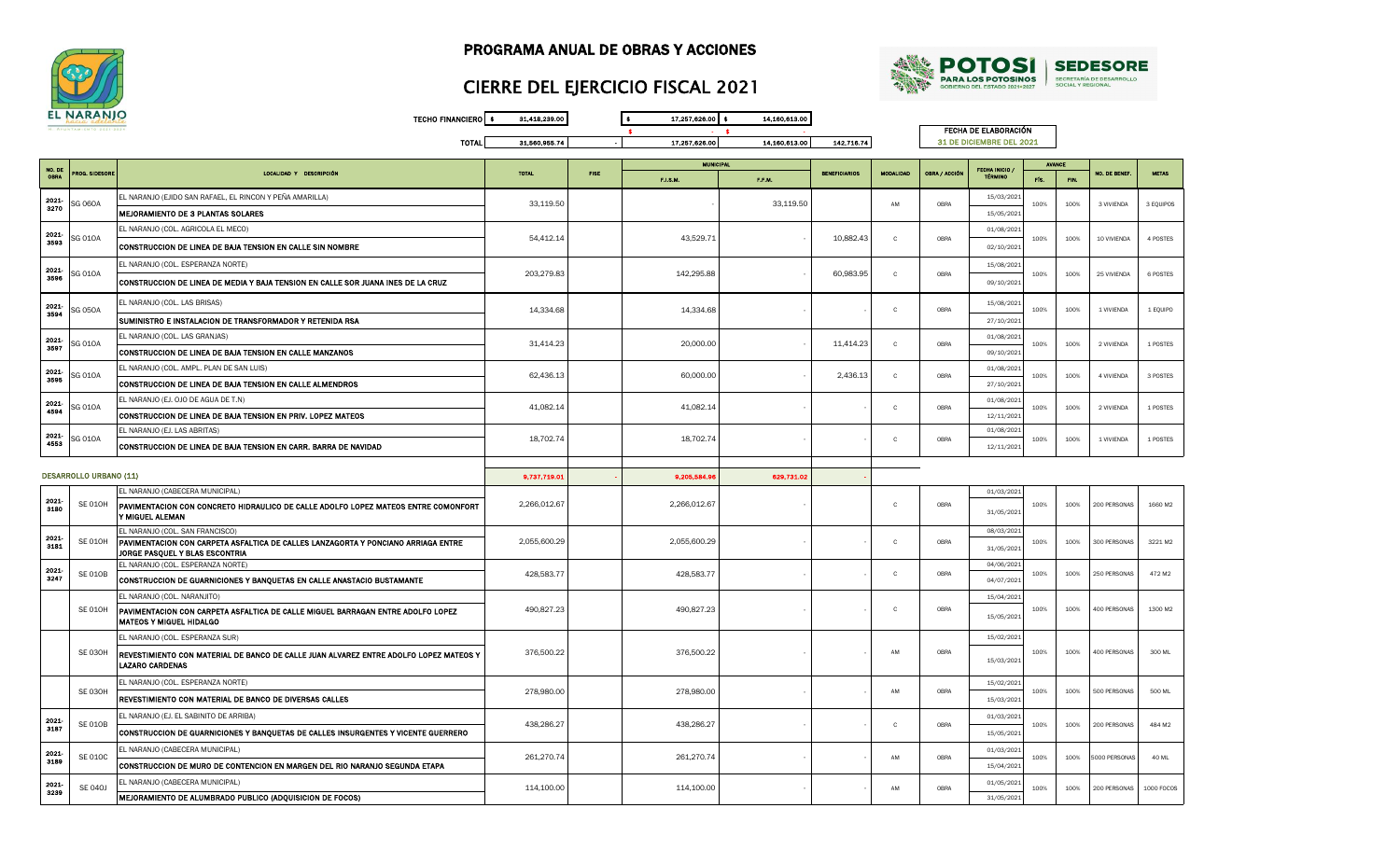



## CIERRE DEL EJERCICIO FISCAL 2021

TECHO FINANCIERO \$ 31,418,239.00 \$ 17,257,626.00 \$ 14,160,613.00  $\bullet$   $\bullet$   $\bullet$   $\bullet$   $\bullet$ TOTAL 31,560,955.74 - 17,257,626.00 14,160,613.00 142,716.74

FECHA DE ELABORACIÓN 31 DE DICIEMBRE DEL 2021

| TÉRMINO<br><b>OBRA</b><br>F.I.S.M.<br>F.F.M.<br>FÍS.<br>FIN.<br>EL NARANJO (EJIDO SAN RAFAEL, EL RINCON Y PEÑA AMARILLA)<br>15/03/2021<br>2021<br>33,119.50<br>33,119.50<br>SG 060A<br>OBRA<br>AM<br>100%<br>3 VIVIENDA<br>3 EQUIPOS<br>100%<br>3270<br>MEJORAMIENTO DE 3 PLANTAS SOLARES<br>15/05/202<br>EL NARANJO (COL. AGRICOLA EL MECO)<br>01/08/2021<br>2021-<br><b>SG 010A</b><br>54,412.14<br>43,529.71<br>10,882.43<br>$\mathbf{C}$<br>OBRA<br>100%<br>10 VIVIENDA<br>4 POSTES<br>100%<br>3593<br>CONSTRUCCION DE LINEA DE BAJA TENSION EN CALLE SIN NOMBRE<br>02/10/2021<br>EL NARANJO (COL. ESPERANZA NORTE)<br>15/08/2021<br>2021<br>SG 010A<br>203,279.83<br>142,295.88<br>60,983.95<br>$\mathbf{C}$<br>OBRA<br>100%<br>25 VIVIENDA<br>6 POSTES<br>100%<br>3596<br>CONSTRUCCION DE LINEA DE MEDIA Y BAJA TENSION EN CALLE SOR JUANA INES DE LA CRUZ<br>09/10/2021<br>EL NARANJO (COL. LAS BRISAS)<br>15/08/2021<br>2021-<br>SG 050A<br>14,334.68<br>14,334.68<br>OBRA<br>$\mathbf{c}$<br>100%<br>100%<br>1 VIVIENDA<br>1 EQUIPO<br>3594<br>SUMINISTRO E INSTALACION DE TRANSFORMADOR Y RETENIDA RSA<br>27/10/2021<br>EL NARANJO (COL. LAS GRANJAS)<br>01/08/2021<br>2021<br>G 010A<br>31,414.23<br>20,000.00<br>11,414.23<br>$\mathbf{C}$<br>OBRA<br>100%<br>100%<br>2 VIVIENDA<br>1 POSTES<br>3597<br>CONSTRUCCION DE LINEA DE BAJA TENSION EN CALLE MANZANOS<br>09/10/2021<br>EL NARANJO (COL. AMPL. PLAN DE SAN LUIS)<br>01/08/2021<br>2021<br><b>SG 010A</b><br>62,436.13<br>60,000.00<br>2,436.13<br>$\mathbf{C}$<br>OBRA<br>4 VIVIENDA<br>3 POSTES<br>100%<br>100%<br>3595<br>CONSTRUCCION DE LINEA DE BAJA TENSION EN CALLE ALMENDROS<br>27/10/2021<br>EL NARANJO (EJ. OJO DE AGUA DE T.N)<br>01/08/2021<br>2021<br>SG 010A<br>41,082.14<br>41,082.14<br>$\mathbf{C}$<br>OBRA<br>100%<br>100%<br>2 VIVIENDA<br>1 POSTES<br>4594<br>CONSTRUCCION DE LINEA DE BAJA TENSION EN PRIV. LOPEZ MATEOS<br>12/11/2021<br>EL NARANJO (EJ. LAS ABRITAS)<br>01/08/202<br>2021<br>SG 010A<br>18,702.74<br>18,702.74<br>$\mathbf{c}$<br>OBRA<br>100%<br>100%<br>1 VIVIENDA<br>1 POSTES<br>4553<br>CONSTRUCCION DE LINEA DE BAJA TENSION EN CARR. BARRA DE NAVIDAD<br>12/11/2021<br><b>DESARROLLO URBANO (11)</b><br>9,737,719.0<br>9,205,584.9<br>629,731.02<br>EL NARANJO (CABECERA MUNICIPAL)<br>01/03/2021<br>2021-<br><b>SE 010H</b><br>2,266,012.67<br>2,266,012.67<br>$\mathbf{c}$<br>OBRA<br>100%<br>100%<br>200 PERSONAS<br>1660 M2<br>PAVIMENTACION CON CONCRETO HIDRAULICO DE CALLE ADOLFO LOPEZ MATEOS ENTRE COMONFORT<br>3180<br>31/05/2021<br>Y MIGUEL ALEMAN<br>EL NARANJO (COL. SAN FRANCISCO)<br>08/03/2021<br>2021-<br><b>SE 010H</b><br>PAVIMENTACION CON CARPETA ASFALTICA DE CALLES LANZAGORTA Y PONCIANO ARRIAGA ENTRE<br>2,055,600.29<br>2,055,600.29<br>$\mathbf{C}$<br>OBRA<br>100%<br>300 PERSONAS<br>3221 M2<br>100%<br>3181<br>31/05/2021<br>JORGE PASQUEL Y BLAS ESCONTRIA<br>EL NARANJO (COL. ESPERANZA NORTE)<br>04/06/2021<br>2021-<br><b>SE 010B</b><br>428,583.77<br>428,583.77<br>OBRA<br>250 PERSONAS<br>472 M2<br>$\mathbf{C}$<br>100%<br>100%<br>3247<br>CONSTRUCCION DE GUARNICIONES Y BANQUETAS EN CALLE ANASTACIO BUSTAMANTE<br>04/07/2021<br>EL NARANJO (COL. NARANJITO)<br>15/04/2021<br>490,827.23<br>490,827.23<br>OBRA<br>400 PERSONAS<br>1300 M2<br>SE 010H<br>$\mathbf{C}$<br>100%<br>100%<br>PAVIMENTACION CON CARPETA ASFALTICA DE CALLE MIGUEL BARRAGAN ENTRE ADOLFO LOPEZ<br>15/05/2021<br><b>MATEOS Y MIGUEL HIDALGO</b><br>EL NARANJO (COL. ESPERANZA SUR)<br>15/02/2021<br><b>SE 030H</b><br>376,500.22<br>376,500.22<br>AM<br>OBRA<br>100%<br>400 PERSONAS<br>300 ML<br>100%<br>REVESTIMIENTO CON MATERIAL DE BANCO DE CALLE JUAN ALVAREZ ENTRE ADOLFO LOPEZ MATEOS Y<br>15/03/2021<br><b>LAZARO CARDENAS</b><br>EL NARANJO (COL. ESPERANZA NORTE)<br>15/02/2021<br><b>SE 030H</b><br>278,980.00<br>278,980.00<br>AM<br>OBRA<br>500 PERSONAS<br>100%<br>100%<br>500 ML<br>REVESTIMIENTO CON MATERIAL DE BANCO DE DIVERSAS CALLES<br>15/03/2021<br>EL NARANJO (EJ. EL SABINITO DE ARRIBA)<br>01/03/202<br>2021<br><b>SE 010B</b><br>438,286.27<br>438,286.27<br>OBRA<br>200 PERSONAS<br>$\mathbf{C}$<br>100%<br>100%<br>484 M2<br>3187<br>CONSTRUCCION DE GUARNICIONES Y BANQUETAS DE CALLES INSURGENTES Y VICENTE GUERRERO<br>15/05/2021<br>EL NARANJO (CABECERA MUNICIPAL)<br>01/03/2021<br>2021<br><b>SE 010C</b><br>261,270.74<br>261,270.74<br>AM<br>OBRA<br>100%<br>100%<br>5000 PERSONAS<br>40 ML<br>3189<br>CONSTRUCCION DE MURO DE CONTENCION EN MARGEN DEL RIO NARANJO SEGUNDA ETAPA<br>15/04/2021<br>EL NARANJO (CABECERA MUNICIPAL)<br>01/05/2021<br>2021<br>114,100.00<br>114,100.00<br><b>SE 040J</b><br>OBRA<br>AM<br>100%<br>100%<br>200 PERSONAS<br>1000 FOCOS<br>3239<br>MEJORAMIENTO DE ALUMBRADO PUBLICO (ADQUISICION DE FOCOS)<br>31/05/2021 | NO. DE |               |                         |              |             | <b>MUNICIPAL</b> |                      |                  |               | <b>FECHA INICIO</b> | <b>AVANCE</b> |                     |              |
|-------------------------------------------------------------------------------------------------------------------------------------------------------------------------------------------------------------------------------------------------------------------------------------------------------------------------------------------------------------------------------------------------------------------------------------------------------------------------------------------------------------------------------------------------------------------------------------------------------------------------------------------------------------------------------------------------------------------------------------------------------------------------------------------------------------------------------------------------------------------------------------------------------------------------------------------------------------------------------------------------------------------------------------------------------------------------------------------------------------------------------------------------------------------------------------------------------------------------------------------------------------------------------------------------------------------------------------------------------------------------------------------------------------------------------------------------------------------------------------------------------------------------------------------------------------------------------------------------------------------------------------------------------------------------------------------------------------------------------------------------------------------------------------------------------------------------------------------------------------------------------------------------------------------------------------------------------------------------------------------------------------------------------------------------------------------------------------------------------------------------------------------------------------------------------------------------------------------------------------------------------------------------------------------------------------------------------------------------------------------------------------------------------------------------------------------------------------------------------------------------------------------------------------------------------------------------------------------------------------------------------------------------------------------------------------------------------------------------------------------------------------------------------------------------------------------------------------------------------------------------------------------------------------------------------------------------------------------------------------------------------------------------------------------------------------------------------------------------------------------------------------------------------------------------------------------------------------------------------------------------------------------------------------------------------------------------------------------------------------------------------------------------------------------------------------------------------------------------------------------------------------------------------------------------------------------------------------------------------------------------------------------------------------------------------------------------------------------------------------------------------------------------------------------------------------------------------------------------------------------------------------------------------------------------------------------------------------------------------------------------------------------------------------------------------------------------------------------------------------------------------------------------------------------------------------------------------------------------------------------------------------------------------------------------------------------------------------------------------------------------------------------------------------------------------------------------------------------------------------------------------------------------------------------------------------------------------------------------------------------------------------------------------------------------------------------------------------------------------------------------------------------------------------------------------------------------------|--------|---------------|-------------------------|--------------|-------------|------------------|----------------------|------------------|---------------|---------------------|---------------|---------------------|--------------|
|                                                                                                                                                                                                                                                                                                                                                                                                                                                                                                                                                                                                                                                                                                                                                                                                                                                                                                                                                                                                                                                                                                                                                                                                                                                                                                                                                                                                                                                                                                                                                                                                                                                                                                                                                                                                                                                                                                                                                                                                                                                                                                                                                                                                                                                                                                                                                                                                                                                                                                                                                                                                                                                                                                                                                                                                                                                                                                                                                                                                                                                                                                                                                                                                                                                                                                                                                                                                                                                                                                                                                                                                                                                                                                                                                                                                                                                                                                                                                                                                                                                                                                                                                                                                                                                                                                                                                                                                                                                                                                                                                                                                                                                                                                                                                                                                                               |        | ROG. SIDESORE | LOCALIDAD Y DESCRIPCIÓN | <b>TOTAL</b> | <b>FISE</b> |                  | <b>BENEFICIARIOS</b> | <b>MODALIDAD</b> | OBRA / ACCIÓN |                     |               | <b>NO. DE BENEF</b> | <b>METAS</b> |
|                                                                                                                                                                                                                                                                                                                                                                                                                                                                                                                                                                                                                                                                                                                                                                                                                                                                                                                                                                                                                                                                                                                                                                                                                                                                                                                                                                                                                                                                                                                                                                                                                                                                                                                                                                                                                                                                                                                                                                                                                                                                                                                                                                                                                                                                                                                                                                                                                                                                                                                                                                                                                                                                                                                                                                                                                                                                                                                                                                                                                                                                                                                                                                                                                                                                                                                                                                                                                                                                                                                                                                                                                                                                                                                                                                                                                                                                                                                                                                                                                                                                                                                                                                                                                                                                                                                                                                                                                                                                                                                                                                                                                                                                                                                                                                                                                               |        |               |                         |              |             |                  |                      |                  |               |                     |               |                     |              |
|                                                                                                                                                                                                                                                                                                                                                                                                                                                                                                                                                                                                                                                                                                                                                                                                                                                                                                                                                                                                                                                                                                                                                                                                                                                                                                                                                                                                                                                                                                                                                                                                                                                                                                                                                                                                                                                                                                                                                                                                                                                                                                                                                                                                                                                                                                                                                                                                                                                                                                                                                                                                                                                                                                                                                                                                                                                                                                                                                                                                                                                                                                                                                                                                                                                                                                                                                                                                                                                                                                                                                                                                                                                                                                                                                                                                                                                                                                                                                                                                                                                                                                                                                                                                                                                                                                                                                                                                                                                                                                                                                                                                                                                                                                                                                                                                                               |        |               |                         |              |             |                  |                      |                  |               |                     |               |                     |              |
|                                                                                                                                                                                                                                                                                                                                                                                                                                                                                                                                                                                                                                                                                                                                                                                                                                                                                                                                                                                                                                                                                                                                                                                                                                                                                                                                                                                                                                                                                                                                                                                                                                                                                                                                                                                                                                                                                                                                                                                                                                                                                                                                                                                                                                                                                                                                                                                                                                                                                                                                                                                                                                                                                                                                                                                                                                                                                                                                                                                                                                                                                                                                                                                                                                                                                                                                                                                                                                                                                                                                                                                                                                                                                                                                                                                                                                                                                                                                                                                                                                                                                                                                                                                                                                                                                                                                                                                                                                                                                                                                                                                                                                                                                                                                                                                                                               |        |               |                         |              |             |                  |                      |                  |               |                     |               |                     |              |
|                                                                                                                                                                                                                                                                                                                                                                                                                                                                                                                                                                                                                                                                                                                                                                                                                                                                                                                                                                                                                                                                                                                                                                                                                                                                                                                                                                                                                                                                                                                                                                                                                                                                                                                                                                                                                                                                                                                                                                                                                                                                                                                                                                                                                                                                                                                                                                                                                                                                                                                                                                                                                                                                                                                                                                                                                                                                                                                                                                                                                                                                                                                                                                                                                                                                                                                                                                                                                                                                                                                                                                                                                                                                                                                                                                                                                                                                                                                                                                                                                                                                                                                                                                                                                                                                                                                                                                                                                                                                                                                                                                                                                                                                                                                                                                                                                               |        |               |                         |              |             |                  |                      |                  |               |                     |               |                     |              |
|                                                                                                                                                                                                                                                                                                                                                                                                                                                                                                                                                                                                                                                                                                                                                                                                                                                                                                                                                                                                                                                                                                                                                                                                                                                                                                                                                                                                                                                                                                                                                                                                                                                                                                                                                                                                                                                                                                                                                                                                                                                                                                                                                                                                                                                                                                                                                                                                                                                                                                                                                                                                                                                                                                                                                                                                                                                                                                                                                                                                                                                                                                                                                                                                                                                                                                                                                                                                                                                                                                                                                                                                                                                                                                                                                                                                                                                                                                                                                                                                                                                                                                                                                                                                                                                                                                                                                                                                                                                                                                                                                                                                                                                                                                                                                                                                                               |        |               |                         |              |             |                  |                      |                  |               |                     |               |                     |              |
|                                                                                                                                                                                                                                                                                                                                                                                                                                                                                                                                                                                                                                                                                                                                                                                                                                                                                                                                                                                                                                                                                                                                                                                                                                                                                                                                                                                                                                                                                                                                                                                                                                                                                                                                                                                                                                                                                                                                                                                                                                                                                                                                                                                                                                                                                                                                                                                                                                                                                                                                                                                                                                                                                                                                                                                                                                                                                                                                                                                                                                                                                                                                                                                                                                                                                                                                                                                                                                                                                                                                                                                                                                                                                                                                                                                                                                                                                                                                                                                                                                                                                                                                                                                                                                                                                                                                                                                                                                                                                                                                                                                                                                                                                                                                                                                                                               |        |               |                         |              |             |                  |                      |                  |               |                     |               |                     |              |
|                                                                                                                                                                                                                                                                                                                                                                                                                                                                                                                                                                                                                                                                                                                                                                                                                                                                                                                                                                                                                                                                                                                                                                                                                                                                                                                                                                                                                                                                                                                                                                                                                                                                                                                                                                                                                                                                                                                                                                                                                                                                                                                                                                                                                                                                                                                                                                                                                                                                                                                                                                                                                                                                                                                                                                                                                                                                                                                                                                                                                                                                                                                                                                                                                                                                                                                                                                                                                                                                                                                                                                                                                                                                                                                                                                                                                                                                                                                                                                                                                                                                                                                                                                                                                                                                                                                                                                                                                                                                                                                                                                                                                                                                                                                                                                                                                               |        |               |                         |              |             |                  |                      |                  |               |                     |               |                     |              |
|                                                                                                                                                                                                                                                                                                                                                                                                                                                                                                                                                                                                                                                                                                                                                                                                                                                                                                                                                                                                                                                                                                                                                                                                                                                                                                                                                                                                                                                                                                                                                                                                                                                                                                                                                                                                                                                                                                                                                                                                                                                                                                                                                                                                                                                                                                                                                                                                                                                                                                                                                                                                                                                                                                                                                                                                                                                                                                                                                                                                                                                                                                                                                                                                                                                                                                                                                                                                                                                                                                                                                                                                                                                                                                                                                                                                                                                                                                                                                                                                                                                                                                                                                                                                                                                                                                                                                                                                                                                                                                                                                                                                                                                                                                                                                                                                                               |        |               |                         |              |             |                  |                      |                  |               |                     |               |                     |              |
|                                                                                                                                                                                                                                                                                                                                                                                                                                                                                                                                                                                                                                                                                                                                                                                                                                                                                                                                                                                                                                                                                                                                                                                                                                                                                                                                                                                                                                                                                                                                                                                                                                                                                                                                                                                                                                                                                                                                                                                                                                                                                                                                                                                                                                                                                                                                                                                                                                                                                                                                                                                                                                                                                                                                                                                                                                                                                                                                                                                                                                                                                                                                                                                                                                                                                                                                                                                                                                                                                                                                                                                                                                                                                                                                                                                                                                                                                                                                                                                                                                                                                                                                                                                                                                                                                                                                                                                                                                                                                                                                                                                                                                                                                                                                                                                                                               |        |               |                         |              |             |                  |                      |                  |               |                     |               |                     |              |
|                                                                                                                                                                                                                                                                                                                                                                                                                                                                                                                                                                                                                                                                                                                                                                                                                                                                                                                                                                                                                                                                                                                                                                                                                                                                                                                                                                                                                                                                                                                                                                                                                                                                                                                                                                                                                                                                                                                                                                                                                                                                                                                                                                                                                                                                                                                                                                                                                                                                                                                                                                                                                                                                                                                                                                                                                                                                                                                                                                                                                                                                                                                                                                                                                                                                                                                                                                                                                                                                                                                                                                                                                                                                                                                                                                                                                                                                                                                                                                                                                                                                                                                                                                                                                                                                                                                                                                                                                                                                                                                                                                                                                                                                                                                                                                                                                               |        |               |                         |              |             |                  |                      |                  |               |                     |               |                     |              |
|                                                                                                                                                                                                                                                                                                                                                                                                                                                                                                                                                                                                                                                                                                                                                                                                                                                                                                                                                                                                                                                                                                                                                                                                                                                                                                                                                                                                                                                                                                                                                                                                                                                                                                                                                                                                                                                                                                                                                                                                                                                                                                                                                                                                                                                                                                                                                                                                                                                                                                                                                                                                                                                                                                                                                                                                                                                                                                                                                                                                                                                                                                                                                                                                                                                                                                                                                                                                                                                                                                                                                                                                                                                                                                                                                                                                                                                                                                                                                                                                                                                                                                                                                                                                                                                                                                                                                                                                                                                                                                                                                                                                                                                                                                                                                                                                                               |        |               |                         |              |             |                  |                      |                  |               |                     |               |                     |              |
|                                                                                                                                                                                                                                                                                                                                                                                                                                                                                                                                                                                                                                                                                                                                                                                                                                                                                                                                                                                                                                                                                                                                                                                                                                                                                                                                                                                                                                                                                                                                                                                                                                                                                                                                                                                                                                                                                                                                                                                                                                                                                                                                                                                                                                                                                                                                                                                                                                                                                                                                                                                                                                                                                                                                                                                                                                                                                                                                                                                                                                                                                                                                                                                                                                                                                                                                                                                                                                                                                                                                                                                                                                                                                                                                                                                                                                                                                                                                                                                                                                                                                                                                                                                                                                                                                                                                                                                                                                                                                                                                                                                                                                                                                                                                                                                                                               |        |               |                         |              |             |                  |                      |                  |               |                     |               |                     |              |
|                                                                                                                                                                                                                                                                                                                                                                                                                                                                                                                                                                                                                                                                                                                                                                                                                                                                                                                                                                                                                                                                                                                                                                                                                                                                                                                                                                                                                                                                                                                                                                                                                                                                                                                                                                                                                                                                                                                                                                                                                                                                                                                                                                                                                                                                                                                                                                                                                                                                                                                                                                                                                                                                                                                                                                                                                                                                                                                                                                                                                                                                                                                                                                                                                                                                                                                                                                                                                                                                                                                                                                                                                                                                                                                                                                                                                                                                                                                                                                                                                                                                                                                                                                                                                                                                                                                                                                                                                                                                                                                                                                                                                                                                                                                                                                                                                               |        |               |                         |              |             |                  |                      |                  |               |                     |               |                     |              |
|                                                                                                                                                                                                                                                                                                                                                                                                                                                                                                                                                                                                                                                                                                                                                                                                                                                                                                                                                                                                                                                                                                                                                                                                                                                                                                                                                                                                                                                                                                                                                                                                                                                                                                                                                                                                                                                                                                                                                                                                                                                                                                                                                                                                                                                                                                                                                                                                                                                                                                                                                                                                                                                                                                                                                                                                                                                                                                                                                                                                                                                                                                                                                                                                                                                                                                                                                                                                                                                                                                                                                                                                                                                                                                                                                                                                                                                                                                                                                                                                                                                                                                                                                                                                                                                                                                                                                                                                                                                                                                                                                                                                                                                                                                                                                                                                                               |        |               |                         |              |             |                  |                      |                  |               |                     |               |                     |              |
|                                                                                                                                                                                                                                                                                                                                                                                                                                                                                                                                                                                                                                                                                                                                                                                                                                                                                                                                                                                                                                                                                                                                                                                                                                                                                                                                                                                                                                                                                                                                                                                                                                                                                                                                                                                                                                                                                                                                                                                                                                                                                                                                                                                                                                                                                                                                                                                                                                                                                                                                                                                                                                                                                                                                                                                                                                                                                                                                                                                                                                                                                                                                                                                                                                                                                                                                                                                                                                                                                                                                                                                                                                                                                                                                                                                                                                                                                                                                                                                                                                                                                                                                                                                                                                                                                                                                                                                                                                                                                                                                                                                                                                                                                                                                                                                                                               |        |               |                         |              |             |                  |                      |                  |               |                     |               |                     |              |
|                                                                                                                                                                                                                                                                                                                                                                                                                                                                                                                                                                                                                                                                                                                                                                                                                                                                                                                                                                                                                                                                                                                                                                                                                                                                                                                                                                                                                                                                                                                                                                                                                                                                                                                                                                                                                                                                                                                                                                                                                                                                                                                                                                                                                                                                                                                                                                                                                                                                                                                                                                                                                                                                                                                                                                                                                                                                                                                                                                                                                                                                                                                                                                                                                                                                                                                                                                                                                                                                                                                                                                                                                                                                                                                                                                                                                                                                                                                                                                                                                                                                                                                                                                                                                                                                                                                                                                                                                                                                                                                                                                                                                                                                                                                                                                                                                               |        |               |                         |              |             |                  |                      |                  |               |                     |               |                     |              |
|                                                                                                                                                                                                                                                                                                                                                                                                                                                                                                                                                                                                                                                                                                                                                                                                                                                                                                                                                                                                                                                                                                                                                                                                                                                                                                                                                                                                                                                                                                                                                                                                                                                                                                                                                                                                                                                                                                                                                                                                                                                                                                                                                                                                                                                                                                                                                                                                                                                                                                                                                                                                                                                                                                                                                                                                                                                                                                                                                                                                                                                                                                                                                                                                                                                                                                                                                                                                                                                                                                                                                                                                                                                                                                                                                                                                                                                                                                                                                                                                                                                                                                                                                                                                                                                                                                                                                                                                                                                                                                                                                                                                                                                                                                                                                                                                                               |        |               |                         |              |             |                  |                      |                  |               |                     |               |                     |              |
|                                                                                                                                                                                                                                                                                                                                                                                                                                                                                                                                                                                                                                                                                                                                                                                                                                                                                                                                                                                                                                                                                                                                                                                                                                                                                                                                                                                                                                                                                                                                                                                                                                                                                                                                                                                                                                                                                                                                                                                                                                                                                                                                                                                                                                                                                                                                                                                                                                                                                                                                                                                                                                                                                                                                                                                                                                                                                                                                                                                                                                                                                                                                                                                                                                                                                                                                                                                                                                                                                                                                                                                                                                                                                                                                                                                                                                                                                                                                                                                                                                                                                                                                                                                                                                                                                                                                                                                                                                                                                                                                                                                                                                                                                                                                                                                                                               |        |               |                         |              |             |                  |                      |                  |               |                     |               |                     |              |
|                                                                                                                                                                                                                                                                                                                                                                                                                                                                                                                                                                                                                                                                                                                                                                                                                                                                                                                                                                                                                                                                                                                                                                                                                                                                                                                                                                                                                                                                                                                                                                                                                                                                                                                                                                                                                                                                                                                                                                                                                                                                                                                                                                                                                                                                                                                                                                                                                                                                                                                                                                                                                                                                                                                                                                                                                                                                                                                                                                                                                                                                                                                                                                                                                                                                                                                                                                                                                                                                                                                                                                                                                                                                                                                                                                                                                                                                                                                                                                                                                                                                                                                                                                                                                                                                                                                                                                                                                                                                                                                                                                                                                                                                                                                                                                                                                               |        |               |                         |              |             |                  |                      |                  |               |                     |               |                     |              |
|                                                                                                                                                                                                                                                                                                                                                                                                                                                                                                                                                                                                                                                                                                                                                                                                                                                                                                                                                                                                                                                                                                                                                                                                                                                                                                                                                                                                                                                                                                                                                                                                                                                                                                                                                                                                                                                                                                                                                                                                                                                                                                                                                                                                                                                                                                                                                                                                                                                                                                                                                                                                                                                                                                                                                                                                                                                                                                                                                                                                                                                                                                                                                                                                                                                                                                                                                                                                                                                                                                                                                                                                                                                                                                                                                                                                                                                                                                                                                                                                                                                                                                                                                                                                                                                                                                                                                                                                                                                                                                                                                                                                                                                                                                                                                                                                                               |        |               |                         |              |             |                  |                      |                  |               |                     |               |                     |              |
|                                                                                                                                                                                                                                                                                                                                                                                                                                                                                                                                                                                                                                                                                                                                                                                                                                                                                                                                                                                                                                                                                                                                                                                                                                                                                                                                                                                                                                                                                                                                                                                                                                                                                                                                                                                                                                                                                                                                                                                                                                                                                                                                                                                                                                                                                                                                                                                                                                                                                                                                                                                                                                                                                                                                                                                                                                                                                                                                                                                                                                                                                                                                                                                                                                                                                                                                                                                                                                                                                                                                                                                                                                                                                                                                                                                                                                                                                                                                                                                                                                                                                                                                                                                                                                                                                                                                                                                                                                                                                                                                                                                                                                                                                                                                                                                                                               |        |               |                         |              |             |                  |                      |                  |               |                     |               |                     |              |
|                                                                                                                                                                                                                                                                                                                                                                                                                                                                                                                                                                                                                                                                                                                                                                                                                                                                                                                                                                                                                                                                                                                                                                                                                                                                                                                                                                                                                                                                                                                                                                                                                                                                                                                                                                                                                                                                                                                                                                                                                                                                                                                                                                                                                                                                                                                                                                                                                                                                                                                                                                                                                                                                                                                                                                                                                                                                                                                                                                                                                                                                                                                                                                                                                                                                                                                                                                                                                                                                                                                                                                                                                                                                                                                                                                                                                                                                                                                                                                                                                                                                                                                                                                                                                                                                                                                                                                                                                                                                                                                                                                                                                                                                                                                                                                                                                               |        |               |                         |              |             |                  |                      |                  |               |                     |               |                     |              |
|                                                                                                                                                                                                                                                                                                                                                                                                                                                                                                                                                                                                                                                                                                                                                                                                                                                                                                                                                                                                                                                                                                                                                                                                                                                                                                                                                                                                                                                                                                                                                                                                                                                                                                                                                                                                                                                                                                                                                                                                                                                                                                                                                                                                                                                                                                                                                                                                                                                                                                                                                                                                                                                                                                                                                                                                                                                                                                                                                                                                                                                                                                                                                                                                                                                                                                                                                                                                                                                                                                                                                                                                                                                                                                                                                                                                                                                                                                                                                                                                                                                                                                                                                                                                                                                                                                                                                                                                                                                                                                                                                                                                                                                                                                                                                                                                                               |        |               |                         |              |             |                  |                      |                  |               |                     |               |                     |              |
|                                                                                                                                                                                                                                                                                                                                                                                                                                                                                                                                                                                                                                                                                                                                                                                                                                                                                                                                                                                                                                                                                                                                                                                                                                                                                                                                                                                                                                                                                                                                                                                                                                                                                                                                                                                                                                                                                                                                                                                                                                                                                                                                                                                                                                                                                                                                                                                                                                                                                                                                                                                                                                                                                                                                                                                                                                                                                                                                                                                                                                                                                                                                                                                                                                                                                                                                                                                                                                                                                                                                                                                                                                                                                                                                                                                                                                                                                                                                                                                                                                                                                                                                                                                                                                                                                                                                                                                                                                                                                                                                                                                                                                                                                                                                                                                                                               |        |               |                         |              |             |                  |                      |                  |               |                     |               |                     |              |
|                                                                                                                                                                                                                                                                                                                                                                                                                                                                                                                                                                                                                                                                                                                                                                                                                                                                                                                                                                                                                                                                                                                                                                                                                                                                                                                                                                                                                                                                                                                                                                                                                                                                                                                                                                                                                                                                                                                                                                                                                                                                                                                                                                                                                                                                                                                                                                                                                                                                                                                                                                                                                                                                                                                                                                                                                                                                                                                                                                                                                                                                                                                                                                                                                                                                                                                                                                                                                                                                                                                                                                                                                                                                                                                                                                                                                                                                                                                                                                                                                                                                                                                                                                                                                                                                                                                                                                                                                                                                                                                                                                                                                                                                                                                                                                                                                               |        |               |                         |              |             |                  |                      |                  |               |                     |               |                     |              |
|                                                                                                                                                                                                                                                                                                                                                                                                                                                                                                                                                                                                                                                                                                                                                                                                                                                                                                                                                                                                                                                                                                                                                                                                                                                                                                                                                                                                                                                                                                                                                                                                                                                                                                                                                                                                                                                                                                                                                                                                                                                                                                                                                                                                                                                                                                                                                                                                                                                                                                                                                                                                                                                                                                                                                                                                                                                                                                                                                                                                                                                                                                                                                                                                                                                                                                                                                                                                                                                                                                                                                                                                                                                                                                                                                                                                                                                                                                                                                                                                                                                                                                                                                                                                                                                                                                                                                                                                                                                                                                                                                                                                                                                                                                                                                                                                                               |        |               |                         |              |             |                  |                      |                  |               |                     |               |                     |              |
|                                                                                                                                                                                                                                                                                                                                                                                                                                                                                                                                                                                                                                                                                                                                                                                                                                                                                                                                                                                                                                                                                                                                                                                                                                                                                                                                                                                                                                                                                                                                                                                                                                                                                                                                                                                                                                                                                                                                                                                                                                                                                                                                                                                                                                                                                                                                                                                                                                                                                                                                                                                                                                                                                                                                                                                                                                                                                                                                                                                                                                                                                                                                                                                                                                                                                                                                                                                                                                                                                                                                                                                                                                                                                                                                                                                                                                                                                                                                                                                                                                                                                                                                                                                                                                                                                                                                                                                                                                                                                                                                                                                                                                                                                                                                                                                                                               |        |               |                         |              |             |                  |                      |                  |               |                     |               |                     |              |
|                                                                                                                                                                                                                                                                                                                                                                                                                                                                                                                                                                                                                                                                                                                                                                                                                                                                                                                                                                                                                                                                                                                                                                                                                                                                                                                                                                                                                                                                                                                                                                                                                                                                                                                                                                                                                                                                                                                                                                                                                                                                                                                                                                                                                                                                                                                                                                                                                                                                                                                                                                                                                                                                                                                                                                                                                                                                                                                                                                                                                                                                                                                                                                                                                                                                                                                                                                                                                                                                                                                                                                                                                                                                                                                                                                                                                                                                                                                                                                                                                                                                                                                                                                                                                                                                                                                                                                                                                                                                                                                                                                                                                                                                                                                                                                                                                               |        |               |                         |              |             |                  |                      |                  |               |                     |               |                     |              |
|                                                                                                                                                                                                                                                                                                                                                                                                                                                                                                                                                                                                                                                                                                                                                                                                                                                                                                                                                                                                                                                                                                                                                                                                                                                                                                                                                                                                                                                                                                                                                                                                                                                                                                                                                                                                                                                                                                                                                                                                                                                                                                                                                                                                                                                                                                                                                                                                                                                                                                                                                                                                                                                                                                                                                                                                                                                                                                                                                                                                                                                                                                                                                                                                                                                                                                                                                                                                                                                                                                                                                                                                                                                                                                                                                                                                                                                                                                                                                                                                                                                                                                                                                                                                                                                                                                                                                                                                                                                                                                                                                                                                                                                                                                                                                                                                                               |        |               |                         |              |             |                  |                      |                  |               |                     |               |                     |              |
|                                                                                                                                                                                                                                                                                                                                                                                                                                                                                                                                                                                                                                                                                                                                                                                                                                                                                                                                                                                                                                                                                                                                                                                                                                                                                                                                                                                                                                                                                                                                                                                                                                                                                                                                                                                                                                                                                                                                                                                                                                                                                                                                                                                                                                                                                                                                                                                                                                                                                                                                                                                                                                                                                                                                                                                                                                                                                                                                                                                                                                                                                                                                                                                                                                                                                                                                                                                                                                                                                                                                                                                                                                                                                                                                                                                                                                                                                                                                                                                                                                                                                                                                                                                                                                                                                                                                                                                                                                                                                                                                                                                                                                                                                                                                                                                                                               |        |               |                         |              |             |                  |                      |                  |               |                     |               |                     |              |
|                                                                                                                                                                                                                                                                                                                                                                                                                                                                                                                                                                                                                                                                                                                                                                                                                                                                                                                                                                                                                                                                                                                                                                                                                                                                                                                                                                                                                                                                                                                                                                                                                                                                                                                                                                                                                                                                                                                                                                                                                                                                                                                                                                                                                                                                                                                                                                                                                                                                                                                                                                                                                                                                                                                                                                                                                                                                                                                                                                                                                                                                                                                                                                                                                                                                                                                                                                                                                                                                                                                                                                                                                                                                                                                                                                                                                                                                                                                                                                                                                                                                                                                                                                                                                                                                                                                                                                                                                                                                                                                                                                                                                                                                                                                                                                                                                               |        |               |                         |              |             |                  |                      |                  |               |                     |               |                     |              |
|                                                                                                                                                                                                                                                                                                                                                                                                                                                                                                                                                                                                                                                                                                                                                                                                                                                                                                                                                                                                                                                                                                                                                                                                                                                                                                                                                                                                                                                                                                                                                                                                                                                                                                                                                                                                                                                                                                                                                                                                                                                                                                                                                                                                                                                                                                                                                                                                                                                                                                                                                                                                                                                                                                                                                                                                                                                                                                                                                                                                                                                                                                                                                                                                                                                                                                                                                                                                                                                                                                                                                                                                                                                                                                                                                                                                                                                                                                                                                                                                                                                                                                                                                                                                                                                                                                                                                                                                                                                                                                                                                                                                                                                                                                                                                                                                                               |        |               |                         |              |             |                  |                      |                  |               |                     |               |                     |              |
|                                                                                                                                                                                                                                                                                                                                                                                                                                                                                                                                                                                                                                                                                                                                                                                                                                                                                                                                                                                                                                                                                                                                                                                                                                                                                                                                                                                                                                                                                                                                                                                                                                                                                                                                                                                                                                                                                                                                                                                                                                                                                                                                                                                                                                                                                                                                                                                                                                                                                                                                                                                                                                                                                                                                                                                                                                                                                                                                                                                                                                                                                                                                                                                                                                                                                                                                                                                                                                                                                                                                                                                                                                                                                                                                                                                                                                                                                                                                                                                                                                                                                                                                                                                                                                                                                                                                                                                                                                                                                                                                                                                                                                                                                                                                                                                                                               |        |               |                         |              |             |                  |                      |                  |               |                     |               |                     |              |
|                                                                                                                                                                                                                                                                                                                                                                                                                                                                                                                                                                                                                                                                                                                                                                                                                                                                                                                                                                                                                                                                                                                                                                                                                                                                                                                                                                                                                                                                                                                                                                                                                                                                                                                                                                                                                                                                                                                                                                                                                                                                                                                                                                                                                                                                                                                                                                                                                                                                                                                                                                                                                                                                                                                                                                                                                                                                                                                                                                                                                                                                                                                                                                                                                                                                                                                                                                                                                                                                                                                                                                                                                                                                                                                                                                                                                                                                                                                                                                                                                                                                                                                                                                                                                                                                                                                                                                                                                                                                                                                                                                                                                                                                                                                                                                                                                               |        |               |                         |              |             |                  |                      |                  |               |                     |               |                     |              |
|                                                                                                                                                                                                                                                                                                                                                                                                                                                                                                                                                                                                                                                                                                                                                                                                                                                                                                                                                                                                                                                                                                                                                                                                                                                                                                                                                                                                                                                                                                                                                                                                                                                                                                                                                                                                                                                                                                                                                                                                                                                                                                                                                                                                                                                                                                                                                                                                                                                                                                                                                                                                                                                                                                                                                                                                                                                                                                                                                                                                                                                                                                                                                                                                                                                                                                                                                                                                                                                                                                                                                                                                                                                                                                                                                                                                                                                                                                                                                                                                                                                                                                                                                                                                                                                                                                                                                                                                                                                                                                                                                                                                                                                                                                                                                                                                                               |        |               |                         |              |             |                  |                      |                  |               |                     |               |                     |              |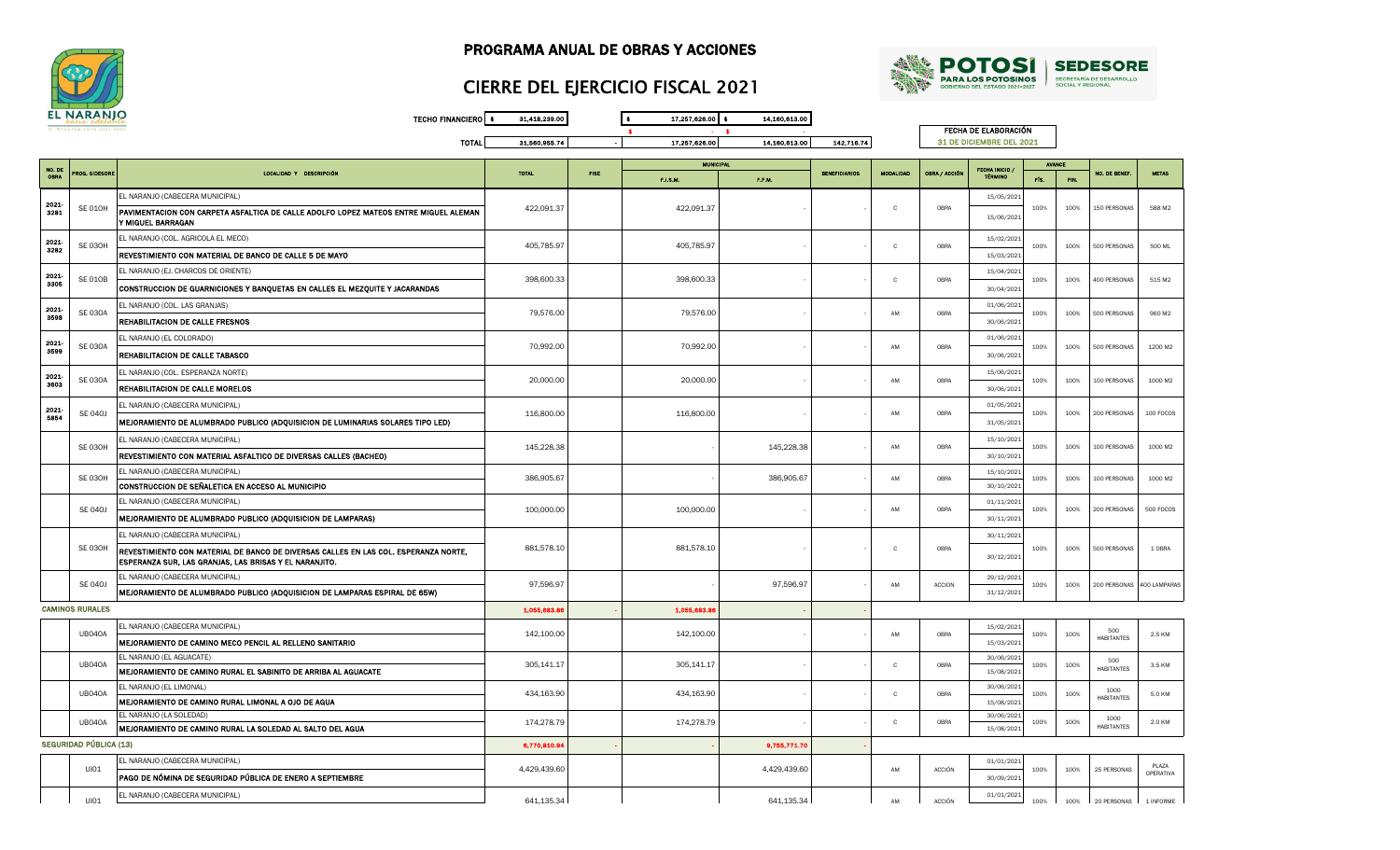



## CIERRE DEL EJERCICIO FISCAL 2021

TECHO FINANCIERO \$ 31,418,239.00 \$ 17,257,626.00 \$ 14,160,613.00  $\bullet$   $\bullet$   $\bullet$   $\bullet$   $\bullet$ TOTAL 31,560,955.74 - 17,257,626.00 14,160,613.00 142,716.74

FECHA DE ELABORACIÓN 31 DE DICIEMBRE DEL 2021

|              |                        |                                                                                                                                               |              |             |             |              |  |              | <b>MUNICIPA</b> |                                       |      |      |                           |                           |  |  |  |  | <b>BENEFICIARIOS</b><br><b>MODALIDAD</b> |  |  | <b>AVANCE</b> |  |  |  |
|--------------|------------------------|-----------------------------------------------------------------------------------------------------------------------------------------------|--------------|-------------|-------------|--------------|--|--------------|-----------------|---------------------------------------|------|------|---------------------------|---------------------------|--|--|--|--|------------------------------------------|--|--|---------------|--|--|--|
| NO. DE       | <b>ROG. SIDESORE</b>   | LOCALIDAD Y DESCRIPCIÓN                                                                                                                       | <b>TOTAL</b> | <b>FISE</b> | F.I.S.M.    | F.F.M.       |  |              | OBRA / ACCIÓN   | <b>FECHA INICIO</b><br><b>TÉRMINO</b> | FÍS. | FIN. | <b>NO. DE BENEF</b>       | <b>NETAS</b>              |  |  |  |  |                                          |  |  |               |  |  |  |
|              |                        | EL NARANJO (CABECERA MUNICIPAL)                                                                                                               |              |             |             |              |  |              |                 | 15/05/202:                            |      |      |                           |                           |  |  |  |  |                                          |  |  |               |  |  |  |
| 2021<br>3281 | <b>SE 010H</b>         | PAVIMENTACION CON CARPETA ASFALTICA DE CALLE ADOLFO LOPEZ MATEOS ENTRE MIGUEL ALEMAN<br>Y MIGUEL BARRAGAN                                     | 422,091.37   |             | 422,091.37  |              |  | C            | OBRA            | 15/06/2021                            | 100% | 100% | 150 PERSONAS              | 588 M2                    |  |  |  |  |                                          |  |  |               |  |  |  |
| 2021         | <b>SE 030H</b>         | EL NARANJO (COL. AGRICOLA EL MECO)                                                                                                            | 405,785.97   |             | 405,785.97  |              |  | $\mathbf{c}$ | OBRA            | 15/02/202:                            | 100% | 100% | 500 PERSONAS              | 500 ML                    |  |  |  |  |                                          |  |  |               |  |  |  |
| 3282         |                        | REVESTIMIENTO CON MATERIAL DE BANCO DE CALLE 5 DE MAYO                                                                                        |              |             |             |              |  |              |                 | 15/03/202:                            |      |      |                           |                           |  |  |  |  |                                          |  |  |               |  |  |  |
| 2021         |                        | EL NARANJO (EJ. CHARCOS DE ORIENTE)                                                                                                           |              |             |             |              |  |              |                 | 15/04/2021                            |      |      |                           |                           |  |  |  |  |                                          |  |  |               |  |  |  |
| 3305         | <b>SE 010B</b>         | CONSTRUCCION DE GUARNICIONES Y BANQUETAS EN CALLES EL MEZQUITE Y JACARANDAS                                                                   | 398,600.33   |             | 398,600.33  |              |  | $\mathbf{C}$ | OBRA            | 30/04/2021                            | 100% | 100% | 400 PERSONAS              | 515 M2                    |  |  |  |  |                                          |  |  |               |  |  |  |
| 2021         |                        | EL NARANJO (COL. LAS GRANJAS)                                                                                                                 |              |             |             |              |  |              |                 | 01/06/202:                            |      |      |                           |                           |  |  |  |  |                                          |  |  |               |  |  |  |
| 3598         | <b>SE 030A</b>         | REHABILITACION DE CALLE FRESNOS                                                                                                               | 79,576.00    |             | 79,576.00   |              |  | AM           | OBRA            | 30/06/202:                            | 100% | 100% | 500 PERSONAS              | 960 M2                    |  |  |  |  |                                          |  |  |               |  |  |  |
| 2021         |                        | EL NARANJO (EL COLORADO)                                                                                                                      |              |             |             |              |  |              |                 | 01/06/202:                            |      |      |                           |                           |  |  |  |  |                                          |  |  |               |  |  |  |
| 3599         | <b>SE 030A</b>         | REHABILITACION DE CALLE TABASCO                                                                                                               | 70,992.00    |             | 70,992.00   |              |  | AM           | OBRA            | 30/06/202:                            | 100% | 100% | 500 PERSONAS              | 1200 M2                   |  |  |  |  |                                          |  |  |               |  |  |  |
| 2021         |                        | EL NARANJO (COL. ESPERANZA NORTE)                                                                                                             |              |             |             |              |  |              |                 | 15/06/202:                            |      |      |                           |                           |  |  |  |  |                                          |  |  |               |  |  |  |
| 3603         | <b>SE 030A</b>         | REHABILITACION DE CALLE MORELOS                                                                                                               | 20,000.00    |             | 20,000.00   |              |  | AM           | OBRA            | 30/06/2021                            | 100% | 100% | 100 PERSONAS              | 1000 M2                   |  |  |  |  |                                          |  |  |               |  |  |  |
| 2021         |                        | EL NARANJO (CABECERA MUNICIPAL)                                                                                                               |              |             |             |              |  |              |                 | 01/05/2021                            |      |      |                           |                           |  |  |  |  |                                          |  |  |               |  |  |  |
| 5854         | <b>SE 040J</b>         | MEJORAMIENTO DE ALUMBRADO PUBLICO (ADQUISICION DE LUMINARIAS SOLARES TIPO LED)                                                                | 116,800.00   |             | 116,800.00  |              |  | AM           | OBRA            | 31/05/2021                            | 100% | 100% | 200 PERSONAS              | 100 FOCOS                 |  |  |  |  |                                          |  |  |               |  |  |  |
|              |                        | EL NARANJO (CABECERA MUNICIPAL)                                                                                                               |              |             |             |              |  |              |                 | 15/10/202:                            |      |      |                           |                           |  |  |  |  |                                          |  |  |               |  |  |  |
|              | <b>SE 030H</b>         | REVESTIMIENTO CON MATERIAL ASFALTICO DE DIVERSAS CALLES (BACHEO)                                                                              | 145,228.38   |             |             | 145,228.38   |  | AM           | OBRA            | 30/10/202:                            | 100% | 100% | 100 PERSONAS              | 1000 M2                   |  |  |  |  |                                          |  |  |               |  |  |  |
|              |                        | EL NARANJO (CABECERA MUNICIPAL)                                                                                                               |              |             |             |              |  | AM           |                 | 15/10/202:                            |      |      |                           |                           |  |  |  |  |                                          |  |  |               |  |  |  |
|              | SE 030H                | CONSTRUCCION DE SEÑALETICA EN ACCESO AL MUNICIPIO                                                                                             | 386,905.67   |             |             | 386,905.67   |  |              | OBRA            | 30/10/202:                            | 100% | 100% | 100 PERSONAS              | 1000 M2                   |  |  |  |  |                                          |  |  |               |  |  |  |
|              | <b>SE 040J</b>         | EL NARANJO (CABECERA MUNICIPAL)                                                                                                               | 100,000.00   |             | 100,000.00  |              |  | AM           | OBRA            | 01/11/202:                            | 100% | 100% | 200 PERSONAS              | 500 FOCOS                 |  |  |  |  |                                          |  |  |               |  |  |  |
|              |                        | MEJORAMIENTO DE ALUMBRADO PUBLICO (ADQUISICION DE LAMPARAS)                                                                                   |              |             |             |              |  |              |                 | 30/11/202:                            |      |      |                           |                           |  |  |  |  |                                          |  |  |               |  |  |  |
|              |                        | EL NARANJO (CABECERA MUNICIPAL)                                                                                                               |              |             |             |              |  |              |                 | 30/11/2021                            |      |      |                           |                           |  |  |  |  |                                          |  |  |               |  |  |  |
|              | <b>SE 030H</b>         | REVESTIMIENTO CON MATERIAL DE BANCO DE DIVERSAS CALLES EN LAS COL. ESPERANZA NORTE,<br>ESPERANZA SUR, LAS GRANJAS, LAS BRISAS Y EL NARANJITO. | 881,578.10   |             | 881,578.10  |              |  | $\mathbf{C}$ | OBRA            | 30/12/202:                            | 100% | 100% | 500 PERSONAS              | 1 OBRA                    |  |  |  |  |                                          |  |  |               |  |  |  |
|              | <b>SE 040J</b>         | EL NARANJO (CABECERA MUNICIPAL)                                                                                                               | 97,596.97    |             |             | 97,596.97    |  | AM           | <b>ACCION</b>   | 29/12/202:                            | 100% | 100% | 200 PERSONAS              | 400 LAMPARAS              |  |  |  |  |                                          |  |  |               |  |  |  |
|              |                        | MEJORAMIENTO DE ALUMBRADO PUBLICO (ADQUISICION DE LAMPARAS ESPIRAL DE 65W)                                                                    |              |             |             |              |  |              |                 | 31/12/2021                            |      |      |                           |                           |  |  |  |  |                                          |  |  |               |  |  |  |
|              | <b>CAMINOS RURALES</b> |                                                                                                                                               | 1,055,683.8  |             | 1,055,683.8 |              |  |              |                 |                                       |      |      |                           |                           |  |  |  |  |                                          |  |  |               |  |  |  |
|              |                        | EL NARANJO (CABECERA MUNICIPAL)                                                                                                               |              |             |             |              |  | AM           | OBRA            | 15/02/202:                            | 100% |      | 500                       | 2.5 KM                    |  |  |  |  |                                          |  |  |               |  |  |  |
|              | UB040A                 | MEJORAMIENTO DE CAMINO MECO PENCIL AL RELLENO SANITARIO                                                                                       | 142,100.00   |             | 142,100.00  |              |  |              |                 | 15/03/2021                            |      | 100% | <b>HABITANTES</b>         |                           |  |  |  |  |                                          |  |  |               |  |  |  |
|              | <b>UB040A</b>          | EL NARANJO (EL AGUACATE)                                                                                                                      | 305,141.17   |             | 305,141.17  |              |  | $\mathbf{C}$ | OBRA            | 30/06/2021                            | 100% | 100% | 500                       | 3.5 KM                    |  |  |  |  |                                          |  |  |               |  |  |  |
|              |                        | MEJORAMIENTO DE CAMINO RURAL EL SABINITO DE ARRIBA AL AGUACATE                                                                                |              |             |             |              |  |              |                 | 15/08/2021                            |      |      | <b>HABITANTES</b>         |                           |  |  |  |  |                                          |  |  |               |  |  |  |
|              | UB040A                 | EL NARANJO (EL LIMONAL)                                                                                                                       | 434,163.90   |             | 434,163.90  |              |  | $\mathbf{C}$ | OBRA            | 30/06/202:                            | 100% | 100% | 1000                      | 5.0 KM                    |  |  |  |  |                                          |  |  |               |  |  |  |
|              |                        | MEJORAMIENTO DE CAMINO RURAL LIMONAL A OJO DE AGUA                                                                                            |              |             |             |              |  |              |                 | 15/08/2021                            |      |      | <b>HABITANTES</b>         |                           |  |  |  |  |                                          |  |  |               |  |  |  |
|              | <b>UB040A</b>          | EL NARANJO (LA SOLEDAD)<br>MEJORAMIENTO DE CAMINO RURAL LA SOLEDAD AL SALTO DEL AGUA                                                          | 174,278.79   |             | 174,278.79  |              |  | $\mathbf{C}$ | OBRA            | 30/06/2021<br>15/08/2021              | 100% | 100% | 1000<br><b>HABITANTES</b> | 2.0 KM                    |  |  |  |  |                                          |  |  |               |  |  |  |
|              | SEGURIDAD PÚBLICA (13) |                                                                                                                                               | 6,770,810.94 |             |             | 9,755,771.7  |  |              |                 |                                       |      |      |                           |                           |  |  |  |  |                                          |  |  |               |  |  |  |
|              |                        | EL NARANJO (CABECERA MUNICIPAL)                                                                                                               |              |             |             |              |  |              |                 | 01/01/2021                            |      |      |                           |                           |  |  |  |  |                                          |  |  |               |  |  |  |
|              | UI01                   | PAGO DE NÓMINA DE SEGURIDAD PÚBLICA DE ENERO A SEPTIEMBRE                                                                                     | 4,429,439.60 |             |             | 4,429,439.60 |  | AM           | <b>ACCIÓN</b>   | 30/09/202                             | 100% | 100% | 25 PERSONAS               | PLAZA<br><b>OPERATIVA</b> |  |  |  |  |                                          |  |  |               |  |  |  |
|              |                        | EL NARANJO (CABECERA MUNICIPAL)                                                                                                               |              |             |             |              |  |              |                 | 01/01/202:                            |      |      |                           |                           |  |  |  |  |                                          |  |  |               |  |  |  |
|              | UIO1                   |                                                                                                                                               | 641.135.34   |             |             | 641.135.34   |  | AM           | <b>ACCIÓN</b>   |                                       | 100% | 100% | 20 PERSONAS               | 1 INFORME                 |  |  |  |  |                                          |  |  |               |  |  |  |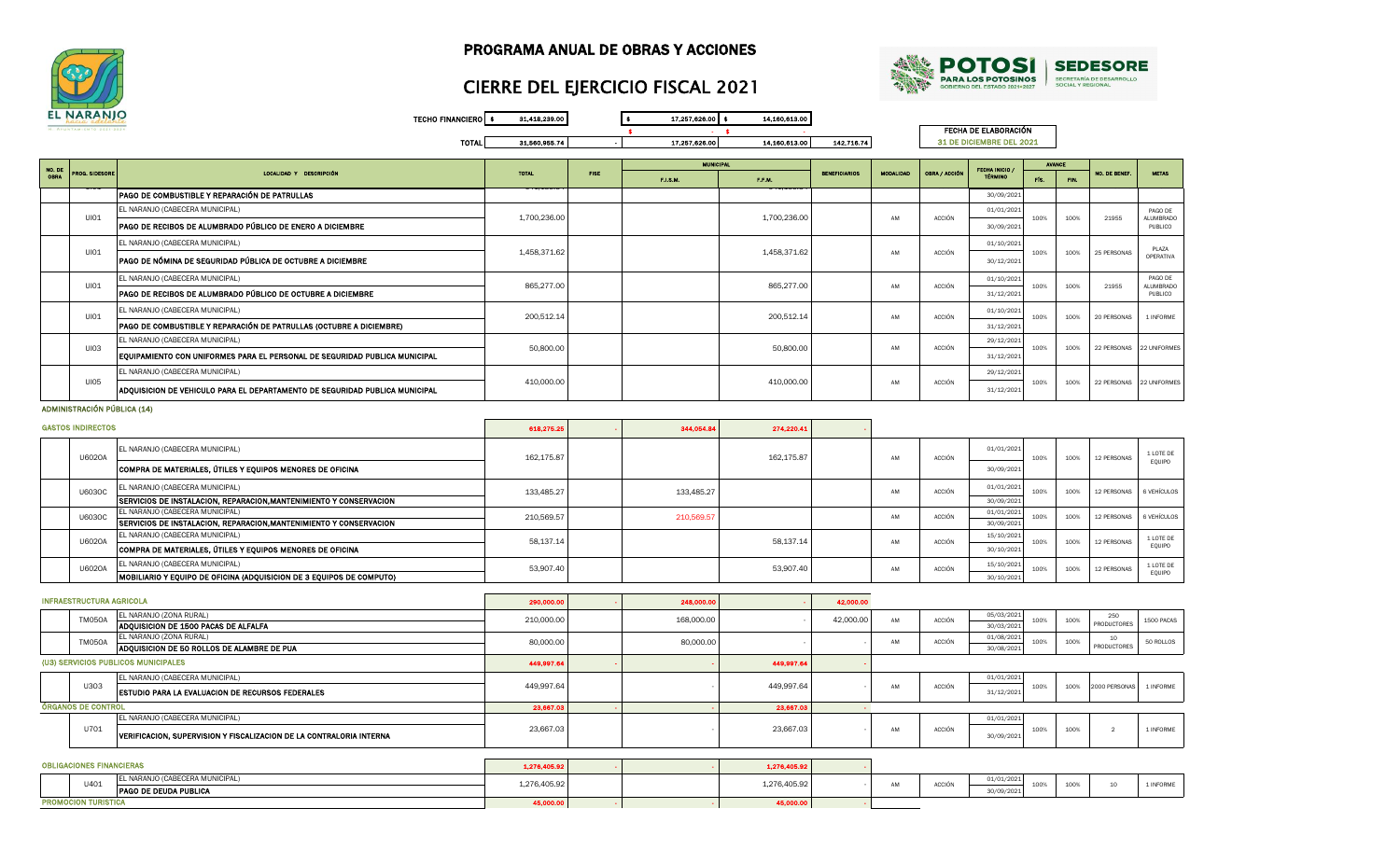



## CIERRE DEL EJERCICIO FISCAL 2021

TECHO FINANCIERO \$ 31,418,239.00 \$ 17,257,626.00 \$ 14,160,613.00  $\bullet$ TOTAL 31,560,955.74 - 17,257,626.00 14,160,613.00 142,716.74

FECHA DE ELABORACIÓN 31 DE DICIEMBRE DEL 2021

| NO. DE      |                             |                                                                             |              |             | <b>MUNICIPAL</b> |              |                      |                  |               | <b>FECHA INICIO /</b> | <b>AVANCE</b>    |                  |                          |                             |
|-------------|-----------------------------|-----------------------------------------------------------------------------|--------------|-------------|------------------|--------------|----------------------|------------------|---------------|-----------------------|------------------|------------------|--------------------------|-----------------------------|
| <b>OBRA</b> | <b>PROG. SIDESORE</b>       | LOCALIDAD Y DESCRIPCIÓN                                                     | <b>TOTAL</b> | <b>FISE</b> | F.I.S.M.         | F.F.M.       | <b>BENEFICIARIOS</b> | <b>MODALIDAD</b> | OBRA / ACCIÓN | <b>TÉRMINO</b>        |                  | FIN.             | NO. DE BENEF.            | <b>NETAS</b>                |
|             |                             | PAGO DE COMBUSTIBLE Y REPARACIÓN DE PATRULLAS                               |              |             |                  |              |                      |                  |               | 30/09/2021            |                  |                  |                          |                             |
|             |                             | EL NARANJO (CABECERA MUNICIPAL)                                             |              |             |                  |              |                      |                  | <b>ACCIÓN</b> | 01/01/2021            |                  |                  |                          | PAGO DE                     |
|             | <b>UI01</b>                 | PAGO DE RECIBOS DE ALUMBRADO PÚBLICO DE ENERO A DICIEMBRE                   | 1,700,236.00 |             |                  | 1,700,236.00 |                      | AM               |               | 30/09/2021            | 100%             | 100%             | 21955                    | <b>ALUMBRADO</b><br>PUBLICO |
|             |                             | EL NARANJO (CABECERA MUNICIPAL)                                             |              |             |                  |              |                      |                  |               | 01/10/2021            |                  |                  |                          | PLAZA                       |
|             | UI01                        | PAGO DE NÓMINA DE SEGURIDAD PÚBLICA DE OCTUBRE A DICIEMBRE                  | 1.458.371.62 |             |                  | 1.458.371.62 |                      | AM               | <b>ACCIÓN</b> | 30/12/2021            | 100%             | 100%             | 25 PERSONAS              | OPERATIVA                   |
|             | <b>UI01</b>                 | EL NARANJO (CABECERA MUNICIPAL)                                             | 865,277.00   |             |                  | 865,277.00   |                      | AM               | <b>ACCIÓN</b> | 01/10/2021            | 100%             | 100%             | 21955                    | PAGO DE<br><b>ALUMBRADO</b> |
|             |                             | PAGO DE RECIBOS DE ALUMBRADO PÚBLICO DE OCTUBRE A DICIEMBRE                 |              |             |                  |              |                      |                  |               | 31/12/2021            |                  |                  |                          | PUBLICO                     |
|             | <b>UI01</b>                 | EL NARANJO (CABECERA MUNICIPAL)                                             | 200,512.14   |             |                  | 200,512.14   |                      | AM               | <b>ACCIÓN</b> | 01/10/2021            | 100%             | 100%             | 20 PERSONAS              | 1 INFORME                   |
|             |                             | PAGO DE COMBUSTIBLE Y REPARACIÓN DE PATRULLAS (OCTUBRE A DICIEMBRE)         |              |             |                  |              |                      |                  |               | 31/12/2021            |                  |                  |                          |                             |
|             | <b>UI03</b>                 | EL NARANJO (CABECERA MUNICIPAL)                                             | 50,800.00    |             |                  | 50,800.00    |                      | AM               | <b>ACCIÓN</b> | 29/12/2021            | 100%             | 100%             | 22 PERSONAS 22 UNIFORMES |                             |
|             |                             | EQUIPAMIENTO CON UNIFORMES PARA EL PERSONAL DE SEGURIDAD PUBLICA MUNICIPAL  |              |             |                  |              |                      |                  |               | 31/12/2021            |                  |                  |                          |                             |
|             |                             | EL NARANJO (CABECERA MUNICIPAL)                                             |              |             |                  |              |                      |                  |               | 29/12/2021            |                  |                  |                          |                             |
|             | <b>UI05</b>                 | ADQUISICION DE VEHICULO PARA EL DEPARTAMENTO DE SEGURIDAD PUBLICA MUNICIPAL | 410.000.00   |             |                  | 410.000.00   |                      | AM               | <b>ACCIÓN</b> | 31/12/2021            | 100%             | 100%             | 22 PERSONAS 22 UNIFORMES |                             |
|             | ADMINISTRACIÓN PÚBLICA (14) |                                                                             |              |             |                  |              |                      |                  |               |                       |                  |                  |                          |                             |
|             | <b>GASTOS INDIRECTOS</b>    |                                                                             | 618,275.25   |             | 344,054.84       | 274,220.41   |                      |                  |               |                       |                  |                  |                          |                             |
|             | $II$ <sub>2020</sub>        | EL NARANJO (CABECERA MUNICIPAL)                                             | 169 175 07   |             |                  | 169 175 07   |                      | AM.              | ACCIÓN        | 01/01/2021            | 100 <sup>2</sup> | 100 <sup>o</sup> | 10 BERCOMAS              | 1 LOTE DE                   |

|               | <b>U6020A</b> |                                                                              | 162.175.87 |            | 162.175.87 | AM | <b>ACCIÓN</b> | 100%               | 100% | 12 PERSONAS | <b>ILUIL UL</b><br>EQUIPO |
|---------------|---------------|------------------------------------------------------------------------------|------------|------------|------------|----|---------------|--------------------|------|-------------|---------------------------|
|               |               | COMPRA DE MATERIALES, ÚTILES Y EQUIPOS MENORES DE OFICINA                    |            |            |            |    |               | 30/09/2021         |      |             |                           |
|               | <b>U6030C</b> | EL NARANJO (CABECERA MUNICIPAL)                                              | 133.485.27 | 133,485.27 |            | AM | <b>ACCIÓN</b> | 01/01/2021<br>100% | 100% | 12 PERSONAS | 6 VEHÍCULOS               |
|               |               | <b>SERVICIOS DE INSTALACION, REPARACION, MANTENIMIENTO Y CONSERVACION</b>    |            |            |            |    |               | 30/09/2021         |      |             |                           |
| <b>U6030C</b> |               | EL NARANJO (CABECERA MUNICIPAL)                                              | 210,569.57 | 210,569.5  |            | AM | <b>ACCIÓN</b> | 01/01/2021<br>100% | 100% | 12 PERSONAS | 6 VEHÍCULOS               |
|               |               | <b>SERVICIOS DE INSTALACION, REPARACION, MANTENIMIENTO Y CONSERVACION</b>    |            |            |            |    |               | 30/09/2021         |      |             |                           |
|               | <b>U6020A</b> | EL NARANJO (CABECERA MUNICIPAL)                                              | 58.137.14  |            | 58.137.14  | AM | <b>ACCIÓN</b> | 15/10/2021<br>100% | 100% | 12 PERSONAS | 1 LOTE DE                 |
|               |               | COMPRA DE MATERIALES, ÚTILES Y EOUIPOS MENORES DE OFICINA                    |            |            |            |    |               | 30/10/2021         |      |             | EQUIPO                    |
|               | <b>U6020A</b> | EL NARANJO (CABECERA MUNICIPAL)                                              | 53,907.40  |            | 53,907.40  | AM | <b>ACCIÓN</b> | 15/10/2021<br>100% | 100% | 12 PERSONAS | 1 LOTE DE                 |
|               |               | <b>IMOBILIARIO Y EOUIPO DE OFICINA (ADOUISICION DE 3 EOUIPOS DE COMPUTO)</b> |            |            |            |    |               | 30/10/2021         |      |             | EOUIPO                    |

|  | <b>INFRAESTRUCTURA AGRICOLA</b>     |                                                                     | 290,000,00 | 248,000.00 |            | 42,000,00 |    |        |                          |      |      |                    |            |
|--|-------------------------------------|---------------------------------------------------------------------|------------|------------|------------|-----------|----|--------|--------------------------|------|------|--------------------|------------|
|  | <b>TM050A</b>                       | EL NARANJO (ZONA RURAL)<br>ADQUISICION DE 1500 PACAS DE ALFALFA     | 210,000,00 | 168,000,00 |            | 42,000,00 | AM | ACCIÓN | 05/03/2021<br>30/03/2021 | 100% | 100% | 250<br>PRODUCTORES | 1500 PACAS |
|  | TM050A                              | EL NARANJO (ZONA RURAL)                                             | 80,000,00  | 80,000.00  |            |           | AM | ACCIÓN | 01/08/2021               | 100% | 100% | 10<br>PRODUCTORES  | 50 ROLLOS  |
|  |                                     | ADQUISICION DE 50 ROLLOS DE ALAMBRE DE PUA                          |            |            |            |           |    |        | 30/08/2021               |      |      |                    |            |
|  | (U3) SERVICIOS PUBLICOS MUNICIPALES |                                                                     | 449,997.64 |            | 449,997.64 |           |    |        |                          |      |      |                    |            |
|  |                                     | EL NARANJO (CABECERA MUNICIPAL)                                     |            |            |            |           |    |        | 01/01/2021               |      |      |                    |            |
|  | U303                                | <b>ESTUDIO PARA LA EVALUACION DE RECURSOS FEDERALES</b>             | 449,997.64 |            | 449,997.64 |           | AM | ACCIÓN | 31/12/2021               | 100% | 100% | 2000 PERSONAS      | 1 INFORME  |
|  | <b>ÓRGANOS DE CONTROL</b>           |                                                                     | 23,667.03  |            | 23,667.03  |           |    |        |                          |      |      |                    |            |
|  |                                     | EL NARANJO (CABECERA MUNICIPAL)                                     |            |            |            |           |    |        | 01/01/2021               |      |      |                    |            |
|  | U701                                | VERIFICACION, SUPERVISION Y FISCALIZACION DE LA CONTRALORIA INTERNA | 23,667.03  |            | 23,667.03  |           | AM | ACCIÓN | 30/09/2021               | 100% | 100% |                    | 1 INFORME  |
|  |                                     |                                                                     |            |            |            |           |    |        |                          |      |      |                    |            |

|                           | <b>OBLIGACIONES FINANCIERAS</b> |                                 | 1,276,405.92 |           | 1,276,405.92 |    |        |            |      |      |  |
|---------------------------|---------------------------------|---------------------------------|--------------|-----------|--------------|----|--------|------------|------|------|--|
|                           | U401                            | EL NARANJO (CABECERA MUNICIPAL) | 1,276,405.92 |           | 1,276,405.92 | AM | ACCIÓN | 01/01/2021 | 100% | 100% |  |
|                           |                                 | <b>PAGO DE DEUDA PUBLICA</b>    |              |           |              |    |        | 30/09/2021 |      |      |  |
| <b>ROMOCION TURISTICA</b> |                                 | 45,000.00                       |              | 45,000.00 |              |    |        |            |      |      |  |